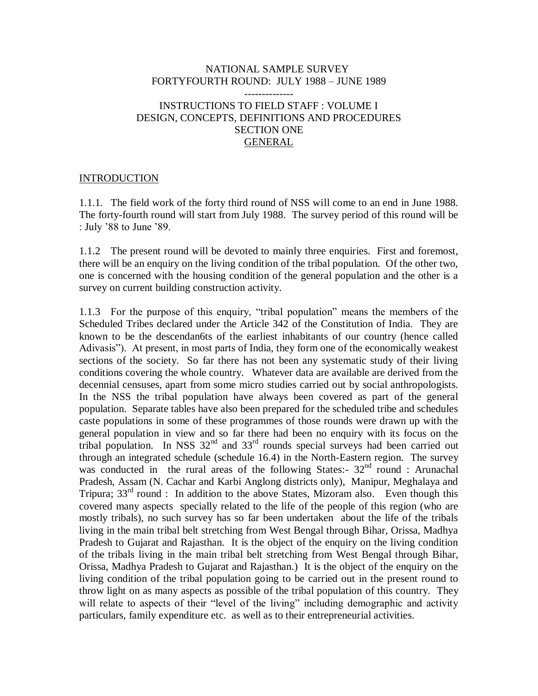#### NATIONAL SAMPLE SURVEY FORTYFOURTH ROUND: JULY 1988 – JUNE 1989 --------------

# INSTRUCTIONS TO FIELD STAFF : VOLUME I DESIGN, CONCEPTS, DEFINITIONS AND PROCEDURES SECTION ONE GENERAL

### **INTRODUCTION**

1.1.1. The field work of the forty third round of NSS will come to an end in June 1988. The forty-fourth round will start from July 1988. The survey period of this round will be : July "88 to June "89.

1.1.2 The present round will be devoted to mainly three enquiries. First and foremost, there will be an enquiry on the living condition of the tribal population. Of the other two, one is concerned with the housing condition of the general population and the other is a survey on current building construction activity.

1.1.3 For the purpose of this enquiry, "tribal population" means the members of the Scheduled Tribes declared under the Article 342 of the Constitution of India. They are known to be the descendan6ts of the earliest inhabitants of our country (hence called Adivasis"). At present, in most parts of India, they form one of the economically weakest sections of the society. So far there has not been any systematic study of their living conditions covering the whole country. Whatever data are available are derived from the decennial censuses, apart from some micro studies carried out by social anthropologists. In the NSS the tribal population have always been covered as part of the general population. Separate tables have also been prepared for the scheduled tribe and schedules caste populations in some of these programmes of those rounds were drawn up with the general population in view and so far there had been no enquiry with its focus on the tribal population. In NSS  $32<sup>nd</sup>$  and  $33<sup>rd</sup>$  rounds special surveys had been carried out through an integrated schedule (schedule 16.4) in the North-Eastern region. The survey was conducted in the rural areas of the following States:-  $32<sup>nd</sup>$  round : Arunachal Pradesh, Assam (N. Cachar and Karbi Anglong districts only), Manipur, Meghalaya and Tripura;  $33<sup>rd</sup>$  round : In addition to the above States, Mizoram also. Even though this covered many aspects specially related to the life of the people of this region (who are mostly tribals), no such survey has so far been undertaken about the life of the tribals living in the main tribal belt stretching from West Bengal through Bihar, Orissa, Madhya Pradesh to Gujarat and Rajasthan. It is the object of the enquiry on the living condition of the tribals living in the main tribal belt stretching from West Bengal through Bihar, Orissa, Madhya Pradesh to Gujarat and Rajasthan.) It is the object of the enquiry on the living condition of the tribal population going to be carried out in the present round to throw light on as many aspects as possible of the tribal population of this country. They will relate to aspects of their "level of the living" including demographic and activity particulars, family expenditure etc. as well as to their entrepreneurial activities.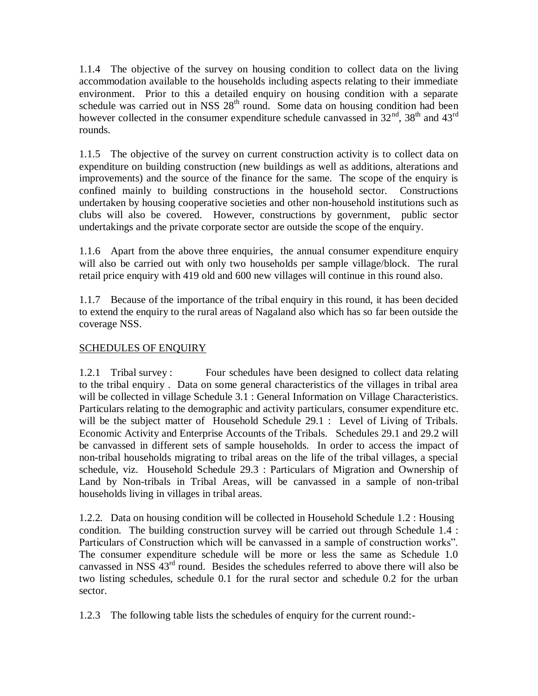1.1.4 The objective of the survey on housing condition to collect data on the living accommodation available to the households including aspects relating to their immediate environment. Prior to this a detailed enquiry on housing condition with a separate schedule was carried out in NSS  $28<sup>th</sup>$  round. Some data on housing condition had been however collected in the consumer expenditure schedule canvassed in  $32<sup>nd</sup>$ ,  $38<sup>th</sup>$  and  $43<sup>rd</sup>$ rounds.

1.1.5 The objective of the survey on current construction activity is to collect data on expenditure on building construction (new buildings as well as additions, alterations and improvements) and the source of the finance for the same. The scope of the enquiry is confined mainly to building constructions in the household sector. Constructions undertaken by housing cooperative societies and other non-household institutions such as clubs will also be covered. However, constructions by government, public sector undertakings and the private corporate sector are outside the scope of the enquiry.

1.1.6 Apart from the above three enquiries, the annual consumer expenditure enquiry will also be carried out with only two households per sample village/block. The rural retail price enquiry with 419 old and 600 new villages will continue in this round also.

1.1.7 Because of the importance of the tribal enquiry in this round, it has been decided to extend the enquiry to the rural areas of Nagaland also which has so far been outside the coverage NSS.

# SCHEDULES OF ENQUIRY

1.2.1 Tribal survey : Four schedules have been designed to collect data relating to the tribal enquiry . Data on some general characteristics of the villages in tribal area will be collected in village Schedule 3.1 : General Information on Village Characteristics. Particulars relating to the demographic and activity particulars, consumer expenditure etc. will be the subject matter of Household Schedule 29.1 : Level of Living of Tribals. Economic Activity and Enterprise Accounts of the Tribals. Schedules 29.1 and 29.2 will be canvassed in different sets of sample households. In order to access the impact of non-tribal households migrating to tribal areas on the life of the tribal villages, a special schedule, viz. Household Schedule 29.3 : Particulars of Migration and Ownership of Land by Non-tribals in Tribal Areas, will be canvassed in a sample of non-tribal households living in villages in tribal areas.

1.2.2. Data on housing condition will be collected in Household Schedule 1.2 : Housing condition. The building construction survey will be carried out through Schedule 1.4 : Particulars of Construction which will be canvassed in a sample of construction works". The consumer expenditure schedule will be more or less the same as Schedule 1.0 canvassed in NSS  $43<sup>rd</sup>$  round. Besides the schedules referred to above there will also be two listing schedules, schedule 0.1 for the rural sector and schedule 0.2 for the urban sector.

1.2.3 The following table lists the schedules of enquiry for the current round:-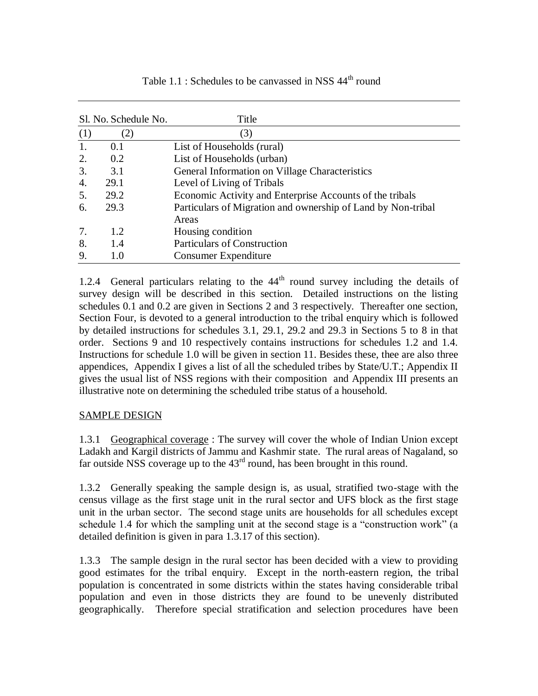| Sl. No. Schedule No. |      | Title                                                        |
|----------------------|------|--------------------------------------------------------------|
| (1)                  | (2)  | (3)                                                          |
| 1.                   | 0.1  | List of Households (rural)                                   |
| 2.                   | 0.2  | List of Households (urban)                                   |
| 3.                   | 3.1  | General Information on Village Characteristics               |
| 4.                   | 29.1 | Level of Living of Tribals                                   |
| 5.                   | 29.2 | Economic Activity and Enterprise Accounts of the tribals     |
| 6.                   | 29.3 | Particulars of Migration and ownership of Land by Non-tribal |
|                      |      | Areas                                                        |
| 7.                   | 1.2  | Housing condition                                            |
| 8.                   | 1.4  | <b>Particulars of Construction</b>                           |
| 9.                   | 1.0  | <b>Consumer Expenditure</b>                                  |

Table  $1.1$ : Schedules to be canvassed in NSS  $44<sup>th</sup>$  round

1.2.4 General particulars relating to the  $44<sup>th</sup>$  round survey including the details of survey design will be described in this section. Detailed instructions on the listing schedules 0.1 and 0.2 are given in Sections 2 and 3 respectively. Thereafter one section, Section Four, is devoted to a general introduction to the tribal enquiry which is followed by detailed instructions for schedules 3.1, 29.1, 29.2 and 29.3 in Sections 5 to 8 in that order. Sections 9 and 10 respectively contains instructions for schedules 1.2 and 1.4. Instructions for schedule 1.0 will be given in section 11. Besides these, thee are also three appendices, Appendix I gives a list of all the scheduled tribes by State/U.T.; Appendix II gives the usual list of NSS regions with their composition and Appendix III presents an illustrative note on determining the scheduled tribe status of a household.

# SAMPLE DESIGN

1.3.1 Geographical coverage : The survey will cover the whole of Indian Union except Ladakh and Kargil districts of Jammu and Kashmir state. The rural areas of Nagaland, so far outside NSS coverage up to the  $43<sup>rd</sup>$  round, has been brought in this round.

1.3.2 Generally speaking the sample design is, as usual, stratified two-stage with the census village as the first stage unit in the rural sector and UFS block as the first stage unit in the urban sector. The second stage units are households for all schedules except schedule 1.4 for which the sampling unit at the second stage is a "construction work" (a detailed definition is given in para 1.3.17 of this section).

1.3.3 The sample design in the rural sector has been decided with a view to providing good estimates for the tribal enquiry. Except in the north-eastern region, the tribal population is concentrated in some districts within the states having considerable tribal population and even in those districts they are found to be unevenly distributed geographically. Therefore special stratification and selection procedures have been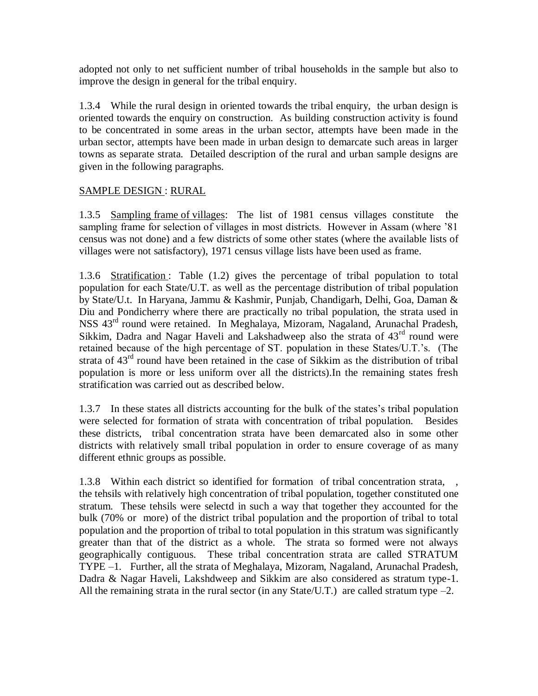adopted not only to net sufficient number of tribal households in the sample but also to improve the design in general for the tribal enquiry.

1.3.4 While the rural design in oriented towards the tribal enquiry, the urban design is oriented towards the enquiry on construction. As building construction activity is found to be concentrated in some areas in the urban sector, attempts have been made in the urban sector, attempts have been made in urban design to demarcate such areas in larger towns as separate strata. Detailed description of the rural and urban sample designs are given in the following paragraphs.

# SAMPLE DESIGN : RURAL

1.3.5 Sampling frame of villages: The list of 1981 census villages constitute the sampling frame for selection of villages in most districts. However in Assam (where "81 census was not done) and a few districts of some other states (where the available lists of villages were not satisfactory), 1971 census village lists have been used as frame.

1.3.6 Stratification : Table (1.2) gives the percentage of tribal population to total population for each State/U.T. as well as the percentage distribution of tribal population by State/U.t. In Haryana, Jammu & Kashmir, Punjab, Chandigarh, Delhi, Goa, Daman & Diu and Pondicherry where there are practically no tribal population, the strata used in NSS 43rd round were retained. In Meghalaya, Mizoram, Nagaland, Arunachal Pradesh, Sikkim, Dadra and Nagar Haveli and Lakshadweep also the strata of 43<sup>rd</sup> round were retained because of the high percentage of ST. population in these States/U.T."s. (The strata of 43<sup>rd</sup> round have been retained in the case of Sikkim as the distribution of tribal population is more or less uniform over all the districts).In the remaining states fresh stratification was carried out as described below.

1.3.7 In these states all districts accounting for the bulk of the states"s tribal population were selected for formation of strata with concentration of tribal population. Besides these districts, tribal concentration strata have been demarcated also in some other districts with relatively small tribal population in order to ensure coverage of as many different ethnic groups as possible.

1.3.8 Within each district so identified for formation of tribal concentration strata, , the tehsils with relatively high concentration of tribal population, together constituted one stratum. These tehsils were selectd in such a way that together they accounted for the bulk (70% or more) of the district tribal population and the proportion of tribal to total population and the proportion of tribal to total population in this stratum was significantly greater than that of the district as a whole. The strata so formed were not always geographically contiguous. These tribal concentration strata are called STRATUM TYPE –1. Further, all the strata of Meghalaya, Mizoram, Nagaland, Arunachal Pradesh, Dadra & Nagar Haveli, Lakshdweep and Sikkim are also considered as stratum type-1. All the remaining strata in the rural sector (in any State/U.T.) are called stratum type  $-2$ .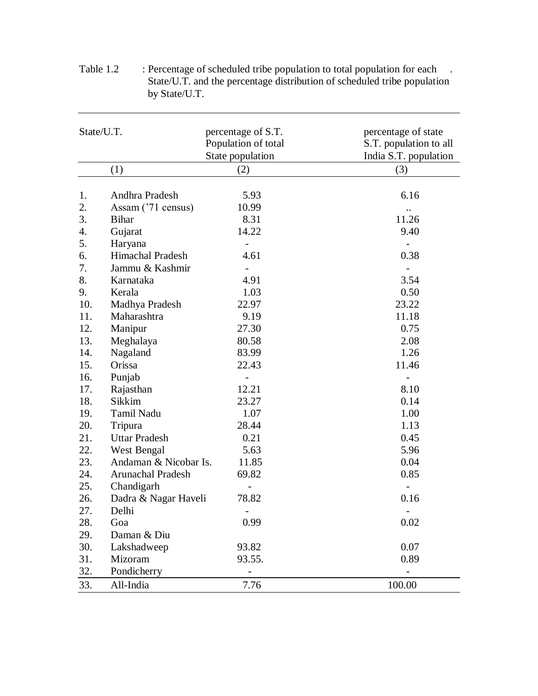| State/U.T. |                          | percentage of S.T.<br>Population of total<br>State population | percentage of state<br>S.T. population to all<br>India S.T. population |  |  |
|------------|--------------------------|---------------------------------------------------------------|------------------------------------------------------------------------|--|--|
|            | (1)                      | (2)                                                           | (3)                                                                    |  |  |
|            |                          |                                                               |                                                                        |  |  |
| 1.         | Andhra Pradesh           | 5.93                                                          | 6.16                                                                   |  |  |
| 2.         | Assam ('71 census)       | 10.99                                                         |                                                                        |  |  |
| 3.         | <b>Bihar</b>             | 8.31                                                          | 11.26                                                                  |  |  |
| 4.         | Gujarat                  | 14.22                                                         | 9.40                                                                   |  |  |
| 5.         | Haryana                  |                                                               | $\overline{a}$                                                         |  |  |
| 6.         | <b>Himachal Pradesh</b>  | 4.61                                                          | 0.38                                                                   |  |  |
| 7.         | Jammu & Kashmir          | $\overline{a}$                                                |                                                                        |  |  |
| 8.         | Karnataka                | 4.91                                                          | 3.54                                                                   |  |  |
| 9.         | Kerala                   | 1.03                                                          | 0.50                                                                   |  |  |
| 10.        | Madhya Pradesh           | 22.97                                                         | 23.22                                                                  |  |  |
| 11.        | Maharashtra              | 9.19                                                          | 11.18                                                                  |  |  |
| 12.        | Manipur                  | 27.30                                                         | 0.75                                                                   |  |  |
| 13.        | Meghalaya                | 80.58                                                         | 2.08                                                                   |  |  |
| 14.        | Nagaland                 | 83.99                                                         | 1.26                                                                   |  |  |
| 15.        | Orissa                   | 22.43                                                         | 11.46                                                                  |  |  |
| 16.        | Punjab                   |                                                               |                                                                        |  |  |
| 17.        | Rajasthan                | 12.21                                                         | 8.10                                                                   |  |  |
| 18.        | Sikkim                   | 23.27                                                         | 0.14                                                                   |  |  |
| 19.        | Tamil Nadu               | 1.07                                                          | 1.00                                                                   |  |  |
| 20.        | Tripura                  | 28.44                                                         | 1.13                                                                   |  |  |
| 21.        | <b>Uttar Pradesh</b>     | 0.21                                                          | 0.45                                                                   |  |  |
| 22.        | West Bengal              | 5.63                                                          | 5.96                                                                   |  |  |
| 23.        | Andaman & Nicobar Is.    | 11.85                                                         | 0.04                                                                   |  |  |
| 24.        | <b>Arunachal Pradesh</b> | 69.82                                                         | 0.85                                                                   |  |  |
| 25.        | Chandigarh               |                                                               |                                                                        |  |  |
| 26.        | Dadra & Nagar Haveli     | 78.82                                                         | 0.16                                                                   |  |  |
| 27.        | Delhi                    |                                                               | $\overline{\phantom{a}}$                                               |  |  |
| 28.        | Goa                      | 0.99                                                          | 0.02                                                                   |  |  |
| 29.        | Daman & Diu              |                                                               |                                                                        |  |  |
| 30.        | Lakshadweep              | 93.82                                                         | 0.07                                                                   |  |  |
| 31.        | Mizoram                  | 93.55.                                                        | 0.89                                                                   |  |  |
| 32.        | Pondicherry              |                                                               |                                                                        |  |  |
| 33.        | All-India                | 7.76                                                          | 100.00                                                                 |  |  |

| Table 1.2 | : Percentage of scheduled tribe population to total population for each  |
|-----------|--------------------------------------------------------------------------|
|           | State/U.T. and the percentage distribution of scheduled tribe population |
|           | by State/U.T.                                                            |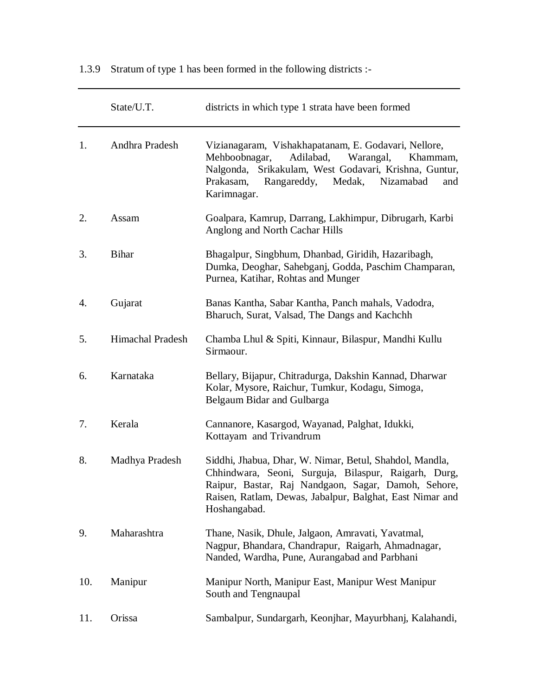1.3.9 Stratum of type 1 has been formed in the following districts :-

|     | State/U.T.              | districts in which type 1 strata have been formed                                                                                                                                                                                                  |  |
|-----|-------------------------|----------------------------------------------------------------------------------------------------------------------------------------------------------------------------------------------------------------------------------------------------|--|
| 1.  | Andhra Pradesh          | Vizianagaram, Vishakhapatanam, E. Godavari, Nellore,<br>Adilabad, Warangal,<br>Mehboobnagar,<br>Khammam,<br>Nalgonda, Srikakulam, West Godavari, Krishna, Guntur,<br>Prakasam,<br>Rangareddy, Medak,<br>Nizamabad<br>and<br>Karimnagar.            |  |
| 2.  | Assam                   | Goalpara, Kamrup, Darrang, Lakhimpur, Dibrugarh, Karbi<br>Anglong and North Cachar Hills                                                                                                                                                           |  |
| 3.  | <b>Bihar</b>            | Bhagalpur, Singbhum, Dhanbad, Giridih, Hazaribagh,<br>Dumka, Deoghar, Sahebganj, Godda, Paschim Champaran,<br>Purnea, Katihar, Rohtas and Munger                                                                                                   |  |
| 4.  | Gujarat                 | Banas Kantha, Sabar Kantha, Panch mahals, Vadodra,<br>Bharuch, Surat, Valsad, The Dangs and Kachchh                                                                                                                                                |  |
| 5.  | <b>Himachal Pradesh</b> | Chamba Lhul & Spiti, Kinnaur, Bilaspur, Mandhi Kullu<br>Sirmaour.                                                                                                                                                                                  |  |
| 6.  | Karnataka               | Bellary, Bijapur, Chitradurga, Dakshin Kannad, Dharwar<br>Kolar, Mysore, Raichur, Tumkur, Kodagu, Simoga,<br>Belgaum Bidar and Gulbarga                                                                                                            |  |
| 7.  | Kerala                  | Cannanore, Kasargod, Wayanad, Palghat, Idukki,<br>Kottayam and Trivandrum                                                                                                                                                                          |  |
| 8.  | Madhya Pradesh          | Siddhi, Jhabua, Dhar, W. Nimar, Betul, Shahdol, Mandla,<br>Chhindwara, Seoni, Surguja, Bilaspur, Raigarh, Durg,<br>Raipur, Bastar, Raj Nandgaon, Sagar, Damoh, Sehore,<br>Raisen, Ratlam, Dewas, Jabalpur, Balghat, East Nimar and<br>Hoshangabad. |  |
| 9.  | Maharashtra             | Thane, Nasik, Dhule, Jalgaon, Amravati, Yavatmal,<br>Nagpur, Bhandara, Chandrapur, Raigarh, Ahmadnagar,<br>Nanded, Wardha, Pune, Aurangabad and Parbhani                                                                                           |  |
| 10. | Manipur                 | Manipur North, Manipur East, Manipur West Manipur<br>South and Tengnaupal                                                                                                                                                                          |  |
| 11. | Orissa                  | Sambalpur, Sundargarh, Keonjhar, Mayurbhanj, Kalahandi,                                                                                                                                                                                            |  |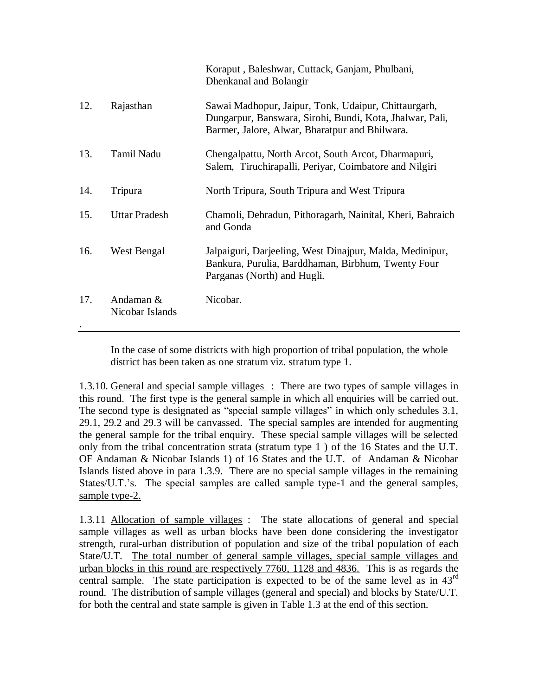|     |                              | Koraput, Baleshwar, Cuttack, Ganjam, Phulbani,<br>Dhenkanal and Bolangir                                                                                           |
|-----|------------------------------|--------------------------------------------------------------------------------------------------------------------------------------------------------------------|
| 12. | Rajasthan                    | Sawai Madhopur, Jaipur, Tonk, Udaipur, Chittaurgarh,<br>Dungarpur, Banswara, Sirohi, Bundi, Kota, Jhalwar, Pali,<br>Barmer, Jalore, Alwar, Bharatpur and Bhilwara. |
| 13. | Tamil Nadu                   | Chengalpattu, North Arcot, South Arcot, Dharmapuri,<br>Salem, Tiruchirapalli, Periyar, Coimbatore and Nilgiri                                                      |
| 14. | Tripura                      | North Tripura, South Tripura and West Tripura                                                                                                                      |
| 15. | <b>Uttar Pradesh</b>         | Chamoli, Dehradun, Pithoragarh, Nainital, Kheri, Bahraich<br>and Gonda                                                                                             |
| 16. | West Bengal                  | Jalpaiguri, Darjeeling, West Dinajpur, Malda, Medinipur,<br>Bankura, Purulia, Barddhaman, Birbhum, Twenty Four<br>Parganas (North) and Hugli.                      |
| 17. | Andaman &<br>Nicobar Islands | Nicobar.                                                                                                                                                           |

In the case of some districts with high proportion of tribal population, the whole district has been taken as one stratum viz. stratum type 1.

1.3.10. General and special sample villages : There are two types of sample villages in this round. The first type is the general sample in which all enquiries will be carried out. The second type is designated as "special sample villages" in which only schedules 3.1, 29.1, 29.2 and 29.3 will be canvassed. The special samples are intended for augmenting the general sample for the tribal enquiry. These special sample villages will be selected only from the tribal concentration strata (stratum type 1 ) of the 16 States and the U.T. OF Andaman & Nicobar Islands 1) of 16 States and the U.T. of Andaman & Nicobar Islands listed above in para 1.3.9. There are no special sample villages in the remaining States/U.T.'s. The special samples are called sample type-1 and the general samples, sample type-2.

1.3.11 Allocation of sample villages : The state allocations of general and special sample villages as well as urban blocks have been done considering the investigator strength, rural-urban distribution of population and size of the tribal population of each State/U.T. The total number of general sample villages, special sample villages and urban blocks in this round are respectively 7760, 1128 and 4836. This is as regards the central sample. The state participation is expected to be of the same level as in  $43<sup>rd</sup>$ round. The distribution of sample villages (general and special) and blocks by State/U.T. for both the central and state sample is given in Table 1.3 at the end of this section.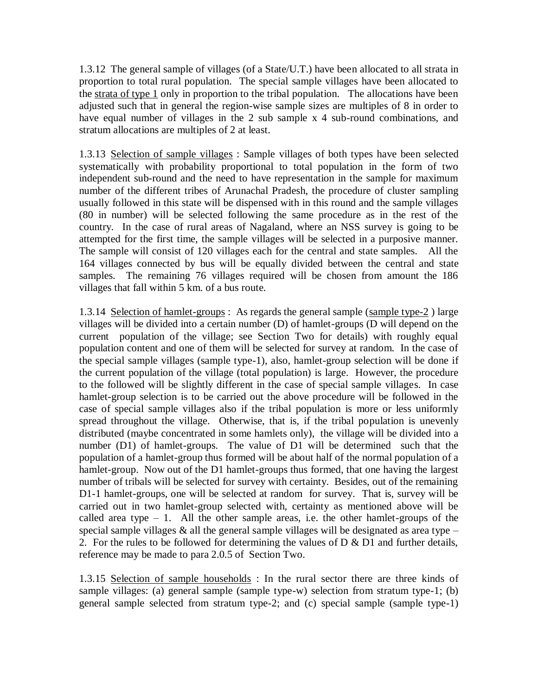1.3.12 The general sample of villages (of a State/U.T.) have been allocated to all strata in proportion to total rural population. The special sample villages have been allocated to the strata of type 1 only in proportion to the tribal population. The allocations have been adjusted such that in general the region-wise sample sizes are multiples of 8 in order to have equal number of villages in the 2 sub sample x 4 sub-round combinations, and stratum allocations are multiples of 2 at least.

1.3.13 Selection of sample villages : Sample villages of both types have been selected systematically with probability proportional to total population in the form of two independent sub-round and the need to have representation in the sample for maximum number of the different tribes of Arunachal Pradesh, the procedure of cluster sampling usually followed in this state will be dispensed with in this round and the sample villages (80 in number) will be selected following the same procedure as in the rest of the country. In the case of rural areas of Nagaland, where an NSS survey is going to be attempted for the first time, the sample villages will be selected in a purposive manner. The sample will consist of 120 villages each for the central and state samples. All the 164 villages connected by bus will be equally divided between the central and state samples. The remaining 76 villages required will be chosen from amount the 186 villages that fall within 5 km. of a bus route.

1.3.14 Selection of hamlet-groups : As regards the general sample (sample type-2 ) large villages will be divided into a certain number (D) of hamlet-groups (D will depend on the current population of the village; see Section Two for details) with roughly equal population content and one of them will be selected for survey at random. In the case of the special sample villages (sample type-1), also, hamlet-group selection will be done if the current population of the village (total population) is large. However, the procedure to the followed will be slightly different in the case of special sample villages. In case hamlet-group selection is to be carried out the above procedure will be followed in the case of special sample villages also if the tribal population is more or less uniformly spread throughout the village. Otherwise, that is, if the tribal population is unevenly distributed (maybe concentrated in some hamlets only), the village will be divided into a number (D1) of hamlet-groups. The value of D1 will be determined such that the population of a hamlet-group thus formed will be about half of the normal population of a hamlet-group. Now out of the D1 hamlet-groups thus formed, that one having the largest number of tribals will be selected for survey with certainty. Besides, out of the remaining D1-1 hamlet-groups, one will be selected at random for survey. That is, survey will be carried out in two hamlet-group selected with, certainty as mentioned above will be called area type  $-1$ . All the other sample areas, i.e. the other hamlet-groups of the special sample villages  $\&$  all the general sample villages will be designated as area type – 2. For the rules to be followed for determining the values of  $D \& D1$  and further details, reference may be made to para 2.0.5 of Section Two.

1.3.15 Selection of sample households : In the rural sector there are three kinds of sample villages: (a) general sample (sample type-w) selection from stratum type-1; (b) general sample selected from stratum type-2; and (c) special sample (sample type-1)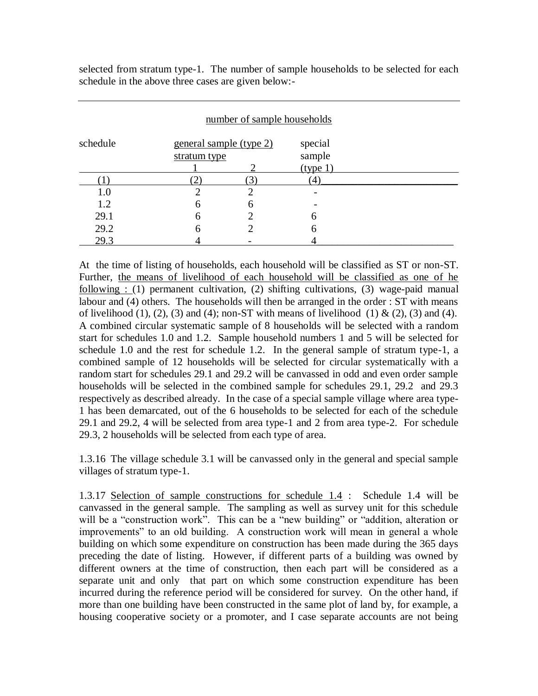selected from stratum type-1. The number of sample households to be selected for each schedule in the above three cases are given below:-

| number of sample households |                                         |   |                               |  |  |
|-----------------------------|-----------------------------------------|---|-------------------------------|--|--|
| schedule                    | general sample (type 2)<br>stratum type |   | special<br>sample<br>(type 1) |  |  |
|                             |                                         | 3 | $\left(4\right)$              |  |  |
| 1.0                         |                                         | ∍ |                               |  |  |
| 1.2                         | 6                                       | 6 |                               |  |  |
| 29.1                        | 6                                       |   | 6                             |  |  |
| 29.2                        | h                                       |   | 6                             |  |  |
| 29.3                        |                                         |   |                               |  |  |

At the time of listing of households, each household will be classified as ST or non-ST. Further, the means of livelihood of each household will be classified as one of he following : (1) permanent cultivation, (2) shifting cultivations, (3) wage-paid manual labour and (4) others. The households will then be arranged in the order : ST with means of livelihood (1), (2), (3) and (4); non-ST with means of livelihood (1)  $\&$  (2), (3) and (4). A combined circular systematic sample of 8 households will be selected with a random start for schedules 1.0 and 1.2. Sample household numbers 1 and 5 will be selected for schedule 1.0 and the rest for schedule 1.2. In the general sample of stratum type-1, a combined sample of 12 households will be selected for circular systematically with a random start for schedules 29.1 and 29.2 will be canvassed in odd and even order sample households will be selected in the combined sample for schedules 29.1, 29.2 and 29.3 respectively as described already. In the case of a special sample village where area type-1 has been demarcated, out of the 6 households to be selected for each of the schedule 29.1 and 29.2, 4 will be selected from area type-1 and 2 from area type-2. For schedule 29.3, 2 households will be selected from each type of area.

1.3.16 The village schedule 3.1 will be canvassed only in the general and special sample villages of stratum type-1.

1.3.17 Selection of sample constructions for schedule 1.4 : Schedule 1.4 will be canvassed in the general sample. The sampling as well as survey unit for this schedule will be a "construction work". This can be a "new building" or "addition, alteration or improvements" to an old building. A construction work will mean in general a whole building on which some expenditure on construction has been made during the 365 days preceding the date of listing. However, if different parts of a building was owned by different owners at the time of construction, then each part will be considered as a separate unit and only that part on which some construction expenditure has been incurred during the reference period will be considered for survey. On the other hand, if more than one building have been constructed in the same plot of land by, for example, a housing cooperative society or a promoter, and I case separate accounts are not being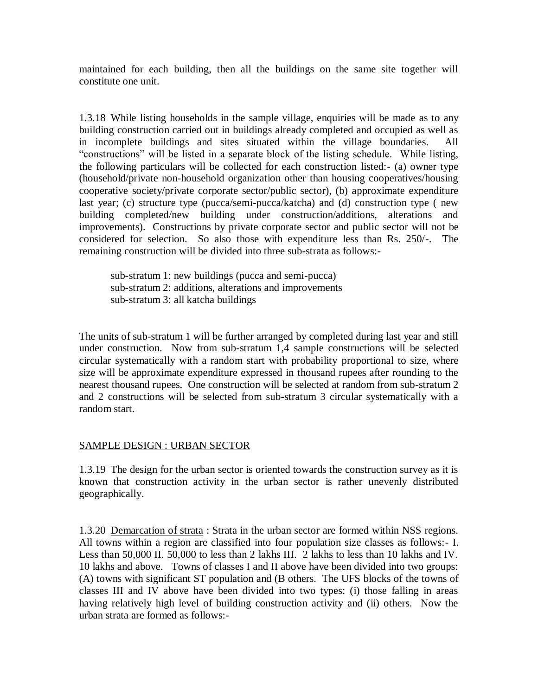maintained for each building, then all the buildings on the same site together will constitute one unit.

1.3.18 While listing households in the sample village, enquiries will be made as to any building construction carried out in buildings already completed and occupied as well as in incomplete buildings and sites situated within the village boundaries. All "constructions" will be listed in a separate block of the listing schedule. While listing, the following particulars will be collected for each construction listed:- (a) owner type (household/private non-household organization other than housing cooperatives/housing cooperative society/private corporate sector/public sector), (b) approximate expenditure last year; (c) structure type (pucca/semi-pucca/katcha) and (d) construction type ( new building completed/new building under construction/additions, alterations and improvements). Constructions by private corporate sector and public sector will not be considered for selection. So also those with expenditure less than Rs. 250/-. The remaining construction will be divided into three sub-strata as follows:-

sub-stratum 1: new buildings (pucca and semi-pucca) sub-stratum 2: additions, alterations and improvements sub-stratum 3: all katcha buildings

The units of sub-stratum 1 will be further arranged by completed during last year and still under construction. Now from sub-stratum 1,4 sample constructions will be selected circular systematically with a random start with probability proportional to size, where size will be approximate expenditure expressed in thousand rupees after rounding to the nearest thousand rupees. One construction will be selected at random from sub-stratum 2 and 2 constructions will be selected from sub-stratum 3 circular systematically with a random start.

# SAMPLE DESIGN : URBAN SECTOR

1.3.19 The design for the urban sector is oriented towards the construction survey as it is known that construction activity in the urban sector is rather unevenly distributed geographically.

1.3.20 Demarcation of strata : Strata in the urban sector are formed within NSS regions. All towns within a region are classified into four population size classes as follows:- I. Less than 50,000 II. 50,000 to less than 2 lakhs III. 2 lakhs to less than 10 lakhs and IV. 10 lakhs and above. Towns of classes I and II above have been divided into two groups: (A) towns with significant ST population and (B others. The UFS blocks of the towns of classes III and IV above have been divided into two types: (i) those falling in areas having relatively high level of building construction activity and (ii) others. Now the urban strata are formed as follows:-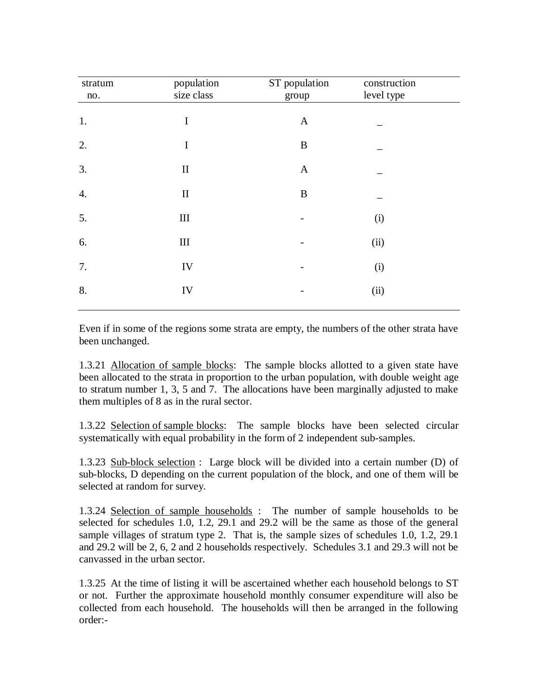| stratum<br>no.     | population<br>size class | ST population<br>group | construction<br>level type |  |
|--------------------|--------------------------|------------------------|----------------------------|--|
| 1.                 | $\mathbf I$              | $\mathbf{A}$           |                            |  |
| 2.                 | $\bf I$                  | $\, {\bf B}$           |                            |  |
| 3.                 | $\mathbf{I}$             | $\mathbf{A}$           |                            |  |
| $\boldsymbol{4}$ . | $\mathbf{I}$             | $\, {\bf B}$           |                            |  |
| 5.                 | $\rm III$                |                        | (i)                        |  |
| 6.                 | $\rm III$                |                        | (ii)                       |  |
| 7.                 | ${\rm IV}$               |                        | (i)                        |  |
| 8.                 | IV                       |                        | (ii)                       |  |
|                    |                          |                        |                            |  |

Even if in some of the regions some strata are empty, the numbers of the other strata have been unchanged.

1.3.21 Allocation of sample blocks: The sample blocks allotted to a given state have been allocated to the strata in proportion to the urban population, with double weight age to stratum number 1, 3, 5 and 7. The allocations have been marginally adjusted to make them multiples of 8 as in the rural sector.

1.3.22 Selection of sample blocks: The sample blocks have been selected circular systematically with equal probability in the form of 2 independent sub-samples.

1.3.23 Sub-block selection : Large block will be divided into a certain number (D) of sub-blocks, D depending on the current population of the block, and one of them will be selected at random for survey.

1.3.24 Selection of sample households : The number of sample households to be selected for schedules 1.0, 1.2, 29.1 and 29.2 will be the same as those of the general sample villages of stratum type 2. That is, the sample sizes of schedules 1.0, 1.2, 29.1 and 29.2 will be 2, 6, 2 and 2 households respectively. Schedules 3.1 and 29.3 will not be canvassed in the urban sector.

1.3.25 At the time of listing it will be ascertained whether each household belongs to ST or not. Further the approximate household monthly consumer expenditure will also be collected from each household. The households will then be arranged in the following order:-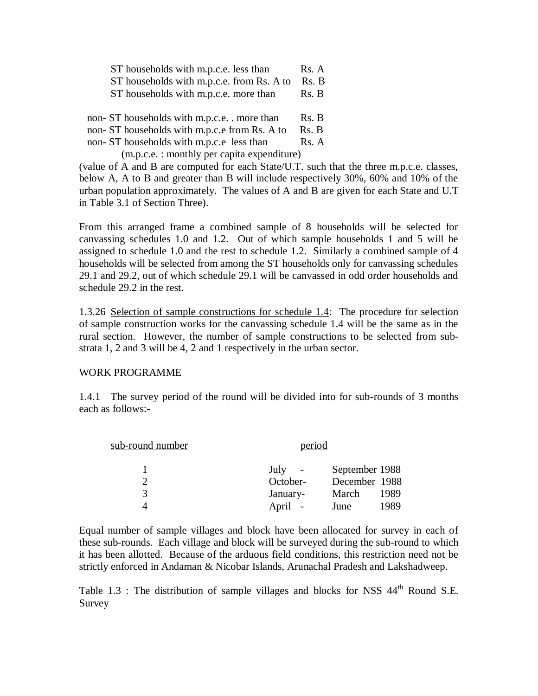| ST households with m.p.c.e. less than     | Rs. A |
|-------------------------------------------|-------|
| ST households with m.p.c.e. from Rs. A to | Rs. B |
| ST households with m.p.c.e. more than     | Rs. B |

non- ST households with m.p.c.e. . more than Rs. B non- ST households with m.p.c.e from Rs. A to Rs. B

non- ST households with m.p.c.e less than Rs. A

(m.p.c.e. : monthly per capita expenditure)

(value of A and B are computed for each State/U.T. such that the three m.p.c.e. classes, below A, A to B and greater than B will include respectively 30%, 60% and 10% of the urban population approximately. The values of A and B are given for each State and U.T in Table 3.1 of Section Three).

From this arranged frame a combined sample of 8 households will be selected for canvassing schedules 1.0 and 1.2. Out of which sample households 1 and 5 will be assigned to schedule 1.0 and the rest to schedule 1.2. Similarly a combined sample of 4 households will be selected from among the ST households only for canvassing schedules 29.1 and 29.2, out of which schedule 29.1 will be canvassed in odd order households and schedule 29.2 in the rest.

1.3.26 Selection of sample constructions for schedule 1.4: The procedure for selection of sample construction works for the canvassing schedule 1.4 will be the same as in the rural section. However, the number of sample constructions to be selected from substrata 1, 2 and 3 will be 4, 2 and 1 respectively in the urban sector.

#### WORK PROGRAMME

1.4.1 The survey period of the round will be divided into for sub-rounds of 3 months each as follows:-

| sub-round number | period   |                |
|------------------|----------|----------------|
|                  | July     | September 1988 |
|                  | October- | December 1988  |
| 3                | January- | 1989<br>March  |
|                  | April    | 1989<br>June   |

Equal number of sample villages and block have been allocated for survey in each of these sub-rounds. Each village and block will be surveyed during the sub-round to which it has been allotted. Because of the arduous field conditions, this restriction need not be strictly enforced in Andaman & Nicobar Islands, Arunachal Pradesh and Lakshadweep.

Table 1.3 : The distribution of sample villages and blocks for NSS 44<sup>th</sup> Round S.E. Survey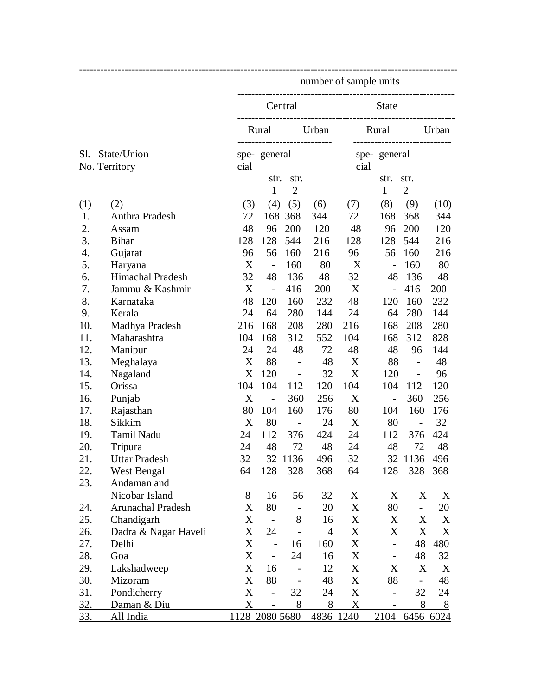|     |                      |                           |                          |                          |                | number of sample units             |                          |                          |         |
|-----|----------------------|---------------------------|--------------------------|--------------------------|----------------|------------------------------------|--------------------------|--------------------------|---------|
|     |                      |                           |                          | Central                  |                |                                    | <b>State</b>             |                          |         |
|     |                      |                           | Rural                    |                          | Urban          | -------------------------<br>Rural |                          |                          | Urban   |
| Sl. | State/Union          | cial                      | spe-general              | --------------           |                | spe-general<br>cial                |                          |                          |         |
|     | No. Territory        |                           | str.                     | str.                     |                |                                    | str.                     | str.                     |         |
|     |                      |                           | $\mathbf{1}$             | $\overline{2}$           |                |                                    | $\mathbf{1}$             | $\mathbf{2}$             |         |
| (1) | (2)                  | (3)                       | (4)                      | (5)                      | (6)            | (7)                                | (8)                      | (9)                      | (10)    |
| 1.  | Anthra Pradesh       | 72                        |                          | 168 368                  | 344            | 72                                 | 168                      | 368                      | 344     |
| 2.  | Assam                | 48                        | 96                       | 200                      | 120            | 48                                 | 96                       | 200                      | 120     |
| 3.  | <b>Bihar</b>         | 128                       | 128                      | 544                      | 216            | 128                                | 128                      | 544                      | 216     |
| 4.  | Gujarat              | 96                        | 56                       | 160                      | 216            | 96                                 | 56                       | 160                      | 216     |
| 5.  | Haryana              | X                         | $\overline{\phantom{a}}$ | 160                      | 80             | X                                  | $\overline{a}$           | 160                      | 80      |
| 6.  | Himachal Pradesh     | 32                        | 48                       | 136                      | 48             | 32                                 | 48                       | 136                      | 48      |
| 7.  | Jammu & Kashmir      | X                         | $\overline{a}$           | 416                      | 200            | X                                  | $\overline{a}$           | 416                      | 200     |
| 8.  | Karnataka            | 48                        | 120                      | 160                      | 232            | 48                                 | 120                      | 160                      | 232     |
| 9.  | Kerala               | 24                        | 64                       | 280                      | 144            | 24                                 | 64                       | 280                      | 144     |
| 10. | Madhya Pradesh       | 216                       | 168                      | 208                      | 280            | 216                                | 168                      | 208                      | 280     |
| 11. | Maharashtra          | 104                       | 168                      | 312                      | 552            | 104                                | 168                      | 312                      | 828     |
| 12. | Manipur              | 24                        | 24                       | 48                       | 72             | 48                                 | 48                       | 96                       | 144     |
| 13. | Meghalaya            | X                         | 88                       |                          | 48             | X                                  | 88                       | $\overline{\phantom{0}}$ | 48      |
| 14. | Nagaland             | X                         | 120                      | $\blacksquare$           | 32             | X                                  | 120                      | $\overline{a}$           | 96      |
| 15. | Orissa               | 104                       | 104                      | 112                      | 120            | 104                                | 104                      | 112                      | 120     |
| 16. | Punjab               | X                         | $\overline{\phantom{a}}$ | 360                      | 256            | X                                  | $\frac{1}{2}$            | 360                      | 256     |
| 17. | Rajasthan            | 80                        | 104                      | 160                      | 176            | 80                                 | 104                      | 160                      | 176     |
| 18. | Sikkim               | X                         | 80                       | $\overline{\phantom{a}}$ | 24             | X                                  | 80                       | $\overline{a}$           | 32      |
| 19. | Tamil Nadu           | 24                        | 112                      | 376                      | 424            | 24                                 | 112                      | 376                      | 424     |
| 20. | Tripura              | 24                        | 48                       | 72                       | 48             | 24                                 | 48                       | 72                       | 48      |
| 21. | <b>Uttar Pradesh</b> | 32                        |                          | 32 1136                  | 496            | 32                                 |                          | 32 1136 496              |         |
| 22. | West Bengal          | 64                        | 128                      | 328                      | 368            | 64                                 | 128                      |                          | 328 368 |
| 23. | Andaman and          |                           |                          |                          |                |                                    |                          |                          |         |
|     | Nicobar Island       | 8                         | 16                       | 56                       | 32             | X                                  | X                        | X                        | X       |
| 24. | Arunachal Pradesh    | X                         | 80                       | $\overline{\phantom{a}}$ | 20             | X                                  | 80                       | $\overline{\phantom{0}}$ | 20      |
| 25. | Chandigarh           | X                         | $\overline{\phantom{a}}$ | 8                        | 16             | X                                  | X                        | X                        | X       |
| 26. | Dadra & Nagar Haveli | X                         | 24                       | $\overline{a}$           | $\overline{4}$ | X                                  | X                        | X                        | X       |
| 27. | Delhi                | $\boldsymbol{\mathrm{X}}$ | $\overline{a}$           | 16                       | 160            | X                                  | $\overline{\phantom{0}}$ | 48                       | 480     |
| 28. | Goa                  | $\mathbf X$               | $\overline{\phantom{0}}$ | 24                       | 16             | X                                  | $\overline{\phantom{0}}$ | 48                       | 32      |
| 29. | Lakshadweep          | X                         | 16                       |                          | 12             | X                                  | X                        | X                        | X       |
| 30. | Mizoram              | $\mathbf X$               | 88                       |                          | 48             | X                                  | 88                       | $\overline{\phantom{0}}$ | 48      |
| 31. | Pondicherry          | $\mathbf X$               | $\overline{\phantom{0}}$ | 32                       | 24             | X                                  | $\overline{\phantom{0}}$ | 32                       | 24      |
| 32. | Daman & Diu          | X                         | $\overline{\phantom{a}}$ | 8                        | 8              | X                                  | $\overline{\phantom{a}}$ | 8                        | 8       |
| 33. | All India            |                           | 1128 2080 5680           |                          | 4836 1240      |                                    |                          | 2104 6456 6024           |         |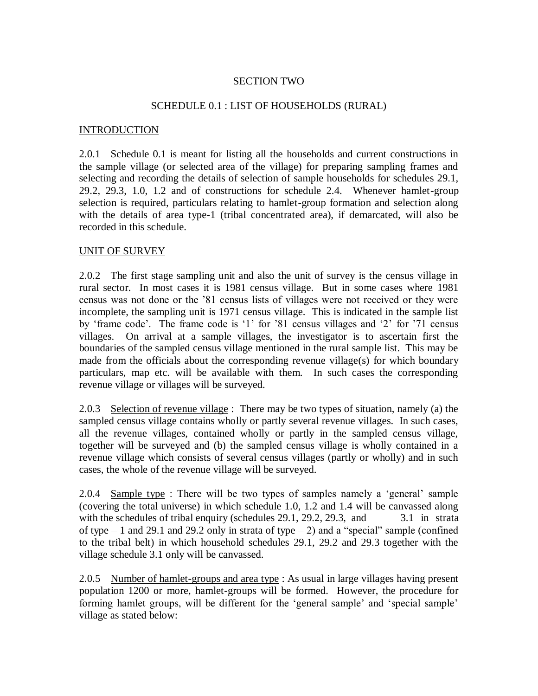## SECTION TWO

### SCHEDULE 0.1 : LIST OF HOUSEHOLDS (RURAL)

#### **INTRODUCTION**

2.0.1 Schedule 0.1 is meant for listing all the households and current constructions in the sample village (or selected area of the village) for preparing sampling frames and selecting and recording the details of selection of sample households for schedules 29.1, 29.2, 29.3, 1.0, 1.2 and of constructions for schedule 2.4. Whenever hamlet-group selection is required, particulars relating to hamlet-group formation and selection along with the details of area type-1 (tribal concentrated area), if demarcated, will also be recorded in this schedule.

#### UNIT OF SURVEY

2.0.2 The first stage sampling unit and also the unit of survey is the census village in rural sector. In most cases it is 1981 census village. But in some cases where 1981 census was not done or the "81 census lists of villages were not received or they were incomplete, the sampling unit is 1971 census village. This is indicated in the sample list by "frame code". The frame code is "1" for "81 census villages and "2" for "71 census villages. On arrival at a sample villages, the investigator is to ascertain first the boundaries of the sampled census village mentioned in the rural sample list. This may be made from the officials about the corresponding revenue village(s) for which boundary particulars, map etc. will be available with them. In such cases the corresponding revenue village or villages will be surveyed.

2.0.3 Selection of revenue village: There may be two types of situation, namely (a) the sampled census village contains wholly or partly several revenue villages. In such cases, all the revenue villages, contained wholly or partly in the sampled census village, together will be surveyed and (b) the sampled census village is wholly contained in a revenue village which consists of several census villages (partly or wholly) and in such cases, the whole of the revenue village will be surveyed.

2.0.4 Sample type : There will be two types of samples namely a "general" sample (covering the total universe) in which schedule 1.0, 1.2 and 1.4 will be canvassed along with the schedules of tribal enquiry (schedules 29.1, 29.2, 29.3, and 3.1 in strata of type  $-1$  and 29.1 and 29.2 only in strata of type  $-2$ ) and a "special" sample (confined to the tribal belt) in which household schedules 29.1, 29.2 and 29.3 together with the village schedule 3.1 only will be canvassed.

2.0.5 Number of hamlet-groups and area type : As usual in large villages having present population 1200 or more, hamlet-groups will be formed. However, the procedure for forming hamlet groups, will be different for the 'general sample' and 'special sample' village as stated below: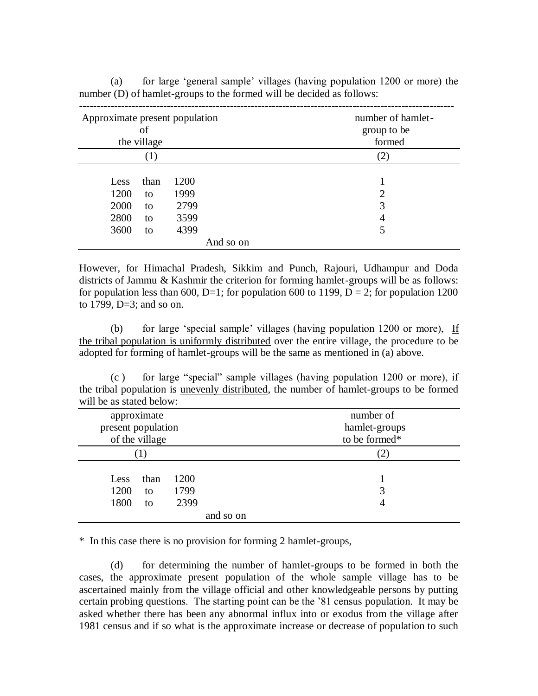| Approximate present population<br>of<br>the village                                                                       | number of hamlet-<br>group to be<br>formed |  |  |
|---------------------------------------------------------------------------------------------------------------------------|--------------------------------------------|--|--|
| (1)                                                                                                                       | (2)                                        |  |  |
| 1200<br>than<br>Less<br>1200<br>1999<br>to<br>2000<br>2799<br>to<br>2800<br>3599<br>to<br>3600<br>4399<br>to<br>And so on | 1<br>っ<br>3<br>4<br>5                      |  |  |

(a) for large "general sample" villages (having population 1200 or more) the number (D) of hamlet-groups to the formed will be decided as follows:

However, for Himachal Pradesh, Sikkim and Punch, Rajouri, Udhampur and Doda districts of Jammu & Kashmir the criterion for forming hamlet-groups will be as follows: for population less than 600, D=1; for population 600 to 1199, D = 2; for population 1200 to 1799, D=3; and so on.

(b) for large 'special sample' villages (having population  $1200$  or more), If the tribal population is uniformly distributed over the entire village, the procedure to be adopted for forming of hamlet-groups will be the same as mentioned in (a) above.

(c ) for large "special" sample villages (having population 1200 or more), if the tribal population is unevenly distributed, the number of hamlet-groups to be formed will be as stated below:

| approximate<br>present population<br>of the village |                      | number of<br>hamlet-groups<br>to be formed* |
|-----------------------------------------------------|----------------------|---------------------------------------------|
| 1)                                                  |                      | 2)                                          |
| than<br>Less<br>1200<br>to<br>1800<br>to            | 1200<br>1799<br>2399 | 3<br>4                                      |
|                                                     | and so on            |                                             |

\* In this case there is no provision for forming 2 hamlet-groups,

(d) for determining the number of hamlet-groups to be formed in both the cases, the approximate present population of the whole sample village has to be ascertained mainly from the village official and other knowledgeable persons by putting certain probing questions. The starting point can be the "81 census population. It may be asked whether there has been any abnormal influx into or exodus from the village after 1981 census and if so what is the approximate increase or decrease of population to such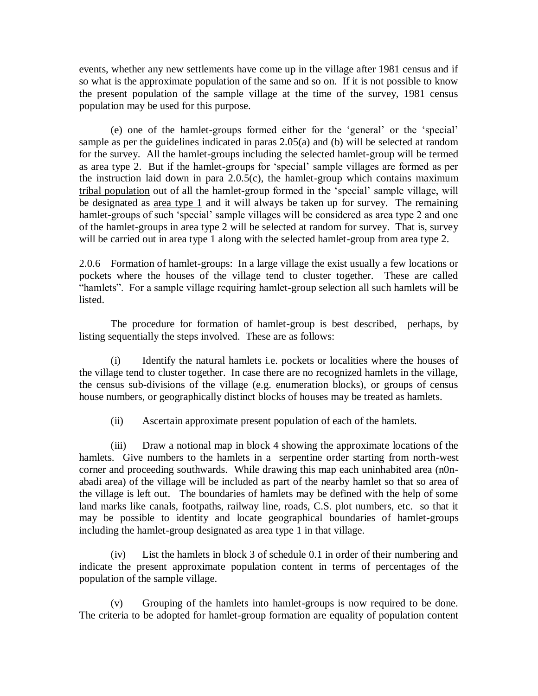events, whether any new settlements have come up in the village after 1981 census and if so what is the approximate population of the same and so on. If it is not possible to know the present population of the sample village at the time of the survey, 1981 census population may be used for this purpose.

(e) one of the hamlet-groups formed either for the "general" or the "special" sample as per the guidelines indicated in paras 2.05(a) and (b) will be selected at random for the survey. All the hamlet-groups including the selected hamlet-group will be termed as area type 2. But if the hamlet-groups for "special" sample villages are formed as per the instruction laid down in para  $2.0.5(c)$ , the hamlet-group which contains maximum tribal population out of all the hamlet-group formed in the "special" sample village, will be designated as  $\frac{\text{area type } 1}{\text{ and it will always be taken up for survey.}$  The remaining hamlet-groups of such 'special' sample villages will be considered as area type 2 and one of the hamlet-groups in area type 2 will be selected at random for survey. That is, survey will be carried out in area type 1 along with the selected hamlet-group from area type 2.

2.0.6 Formation of hamlet-groups: In a large village the exist usually a few locations or pockets where the houses of the village tend to cluster together. These are called "hamlets". For a sample village requiring hamlet-group selection all such hamlets will be listed.

The procedure for formation of hamlet-group is best described, perhaps, by listing sequentially the steps involved. These are as follows:

(i) Identify the natural hamlets i.e. pockets or localities where the houses of the village tend to cluster together. In case there are no recognized hamlets in the village, the census sub-divisions of the village (e.g. enumeration blocks), or groups of census house numbers, or geographically distinct blocks of houses may be treated as hamlets.

(ii) Ascertain approximate present population of each of the hamlets.

(iii) Draw a notional map in block 4 showing the approximate locations of the hamlets. Give numbers to the hamlets in a serpentine order starting from north-west corner and proceeding southwards. While drawing this map each uninhabited area (n0nabadi area) of the village will be included as part of the nearby hamlet so that so area of the village is left out. The boundaries of hamlets may be defined with the help of some land marks like canals, footpaths, railway line, roads, C.S. plot numbers, etc. so that it may be possible to identity and locate geographical boundaries of hamlet-groups including the hamlet-group designated as area type 1 in that village.

(iv) List the hamlets in block 3 of schedule 0.1 in order of their numbering and indicate the present approximate population content in terms of percentages of the population of the sample village.

(v) Grouping of the hamlets into hamlet-groups is now required to be done. The criteria to be adopted for hamlet-group formation are equality of population content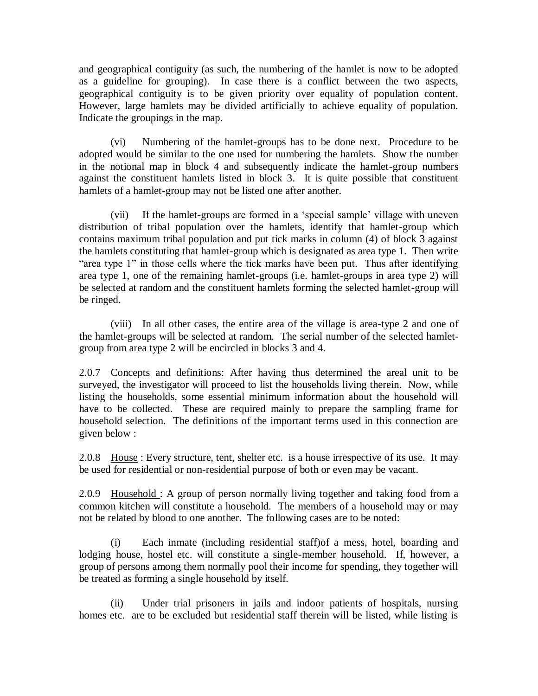and geographical contiguity (as such, the numbering of the hamlet is now to be adopted as a guideline for grouping). In case there is a conflict between the two aspects, geographical contiguity is to be given priority over equality of population content. However, large hamlets may be divided artificially to achieve equality of population. Indicate the groupings in the map.

(vi) Numbering of the hamlet-groups has to be done next. Procedure to be adopted would be similar to the one used for numbering the hamlets. Show the number in the notional map in block 4 and subsequently indicate the hamlet-group numbers against the constituent hamlets listed in block 3. It is quite possible that constituent hamlets of a hamlet-group may not be listed one after another.

(vii) If the hamlet-groups are formed in a "special sample" village with uneven distribution of tribal population over the hamlets, identify that hamlet-group which contains maximum tribal population and put tick marks in column (4) of block 3 against the hamlets constituting that hamlet-group which is designated as area type 1. Then write "area type 1" in those cells where the tick marks have been put. Thus after identifying area type 1, one of the remaining hamlet-groups (i.e. hamlet-groups in area type 2) will be selected at random and the constituent hamlets forming the selected hamlet-group will be ringed.

(viii) In all other cases, the entire area of the village is area-type 2 and one of the hamlet-groups will be selected at random. The serial number of the selected hamletgroup from area type 2 will be encircled in blocks 3 and 4.

2.0.7 Concepts and definitions: After having thus determined the areal unit to be surveyed, the investigator will proceed to list the households living therein. Now, while listing the households, some essential minimum information about the household will have to be collected. These are required mainly to prepare the sampling frame for household selection. The definitions of the important terms used in this connection are given below :

2.0.8 House : Every structure, tent, shelter etc. is a house irrespective of its use. It may be used for residential or non-residential purpose of both or even may be vacant.

2.0.9 Household : A group of person normally living together and taking food from a common kitchen will constitute a household. The members of a household may or may not be related by blood to one another. The following cases are to be noted:

(i) Each inmate (including residential staff)of a mess, hotel, boarding and lodging house, hostel etc. will constitute a single-member household. If, however, a group of persons among them normally pool their income for spending, they together will be treated as forming a single household by itself.

(ii) Under trial prisoners in jails and indoor patients of hospitals, nursing homes etc. are to be excluded but residential staff therein will be listed, while listing is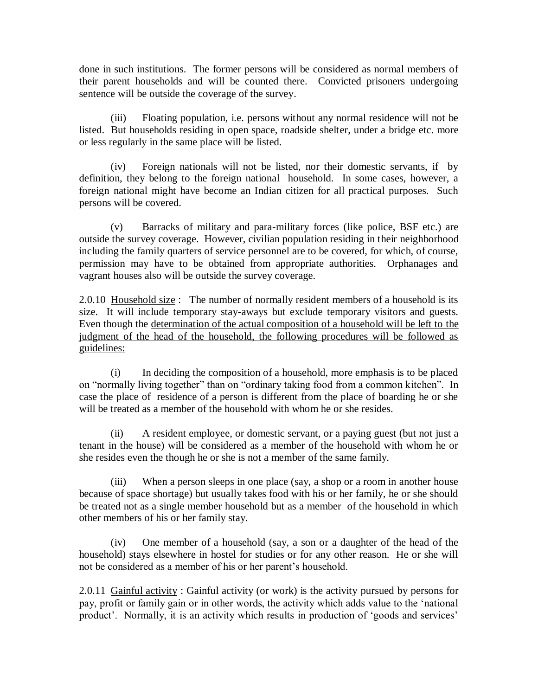done in such institutions. The former persons will be considered as normal members of their parent households and will be counted there. Convicted prisoners undergoing sentence will be outside the coverage of the survey.

(iii) Floating population, i.e. persons without any normal residence will not be listed. But households residing in open space, roadside shelter, under a bridge etc. more or less regularly in the same place will be listed.

(iv) Foreign nationals will not be listed, nor their domestic servants, if by definition, they belong to the foreign national household. In some cases, however, a foreign national might have become an Indian citizen for all practical purposes. Such persons will be covered.

(v) Barracks of military and para-military forces (like police, BSF etc.) are outside the survey coverage. However, civilian population residing in their neighborhood including the family quarters of service personnel are to be covered, for which, of course, permission may have to be obtained from appropriate authorities. Orphanages and vagrant houses also will be outside the survey coverage.

2.0.10 Household size: The number of normally resident members of a household is its size. It will include temporary stay-aways but exclude temporary visitors and guests. Even though the determination of the actual composition of a household will be left to the judgment of the head of the household, the following procedures will be followed as guidelines:

(i) In deciding the composition of a household, more emphasis is to be placed on "normally living together" than on "ordinary taking food from a common kitchen". In case the place of residence of a person is different from the place of boarding he or she will be treated as a member of the household with whom he or she resides.

(ii) A resident employee, or domestic servant, or a paying guest (but not just a tenant in the house) will be considered as a member of the household with whom he or she resides even the though he or she is not a member of the same family.

(iii) When a person sleeps in one place (say, a shop or a room in another house because of space shortage) but usually takes food with his or her family, he or she should be treated not as a single member household but as a member of the household in which other members of his or her family stay.

(iv) One member of a household (say, a son or a daughter of the head of the household) stays elsewhere in hostel for studies or for any other reason. He or she will not be considered as a member of his or her parent"s household.

2.0.11 Gainful activity : Gainful activity (or work) is the activity pursued by persons for pay, profit or family gain or in other words, the activity which adds value to the "national product'. Normally, it is an activity which results in production of 'goods and services'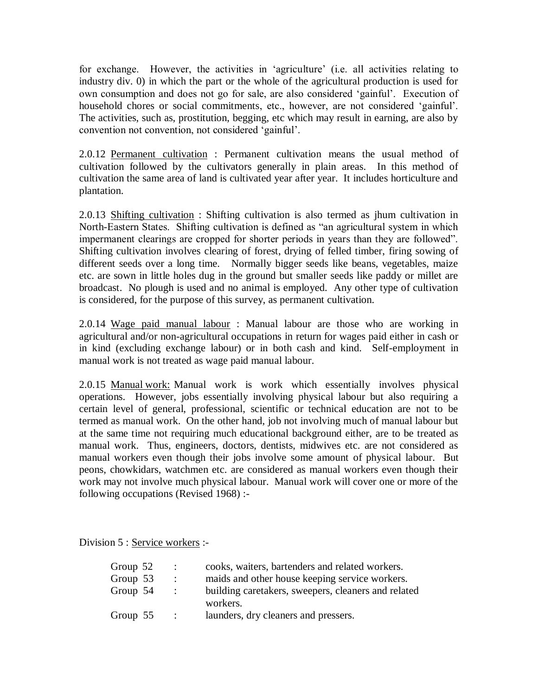for exchange. However, the activities in "agriculture" (i.e. all activities relating to industry div. 0) in which the part or the whole of the agricultural production is used for own consumption and does not go for sale, are also considered "gainful". Execution of household chores or social commitments, etc., however, are not considered "gainful". The activities, such as, prostitution, begging, etc which may result in earning, are also by convention not convention, not considered "gainful".

2.0.12 Permanent cultivation : Permanent cultivation means the usual method of cultivation followed by the cultivators generally in plain areas. In this method of cultivation the same area of land is cultivated year after year. It includes horticulture and plantation.

2.0.13 Shifting cultivation : Shifting cultivation is also termed as jhum cultivation in North-Eastern States. Shifting cultivation is defined as "an agricultural system in which impermanent clearings are cropped for shorter periods in years than they are followed". Shifting cultivation involves clearing of forest, drying of felled timber, firing sowing of different seeds over a long time. Normally bigger seeds like beans, vegetables, maize etc. are sown in little holes dug in the ground but smaller seeds like paddy or millet are broadcast. No plough is used and no animal is employed. Any other type of cultivation is considered, for the purpose of this survey, as permanent cultivation.

2.0.14 Wage paid manual labour : Manual labour are those who are working in agricultural and/or non-agricultural occupations in return for wages paid either in cash or in kind (excluding exchange labour) or in both cash and kind. Self-employment in manual work is not treated as wage paid manual labour.

2.0.15 Manual work: Manual work is work which essentially involves physical operations. However, jobs essentially involving physical labour but also requiring a certain level of general, professional, scientific or technical education are not to be termed as manual work. On the other hand, job not involving much of manual labour but at the same time not requiring much educational background either, are to be treated as manual work. Thus, engineers, doctors, dentists, midwives etc. are not considered as manual workers even though their jobs involve some amount of physical labour. But peons, chowkidars, watchmen etc. are considered as manual workers even though their work may not involve much physical labour. Manual work will cover one or more of the following occupations (Revised 1968) :-

Division 5 : Service workers :-

| Group $52$ | $\mathbf{r}$              | cooks, waiters, bartenders and related workers.     |
|------------|---------------------------|-----------------------------------------------------|
| Group 53   | $\mathbb{R}^{\mathbb{Z}}$ | maids and other house keeping service workers.      |
| Group 54   | $\ddot{\phantom{1}}$      | building caretakers, sweepers, cleaners and related |
|            |                           | workers.                                            |
| Group $55$ | $\sim$ 100 $\sim$         | launders, dry cleaners and pressers.                |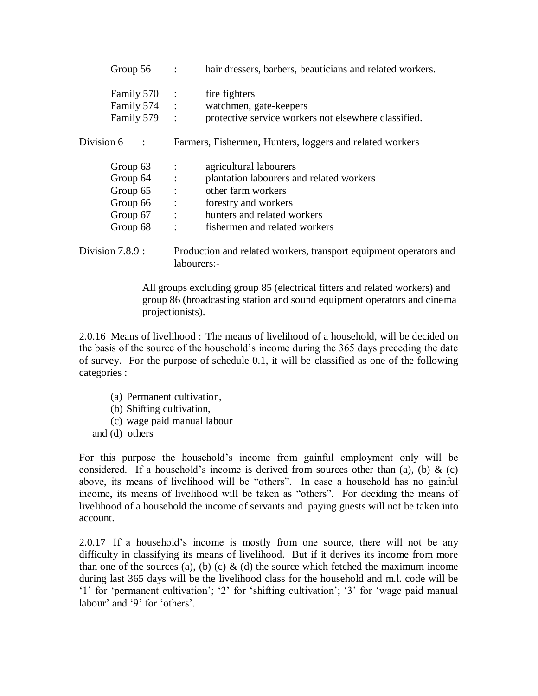| Group $56$ :                                                                             |              | hair dressers, barbers, beauticians and related workers.                                                                                                                         |
|------------------------------------------------------------------------------------------|--------------|----------------------------------------------------------------------------------------------------------------------------------------------------------------------------------|
| Family 570 :<br>Family 574 :<br>Family 579 :                                             |              | fire fighters<br>watchmen, gate-keepers<br>protective service workers not elsewhere classified.                                                                                  |
| Division 6                                                                               |              | Farmers, Fishermen, Hunters, loggers and related workers                                                                                                                         |
| Group $63$ :<br>Group $64$ :<br>Group $65$ :<br>Group $66$ :<br>Group $67$ :<br>Group 68 | $\therefore$ | agricultural labourers<br>plantation labourers and related workers<br>other farm workers<br>forestry and workers<br>hunters and related workers<br>fishermen and related workers |
| Division $7.8.9$ :                                                                       |              | Production and related workers, transport equipment operators and<br>labourers:-                                                                                                 |

All groups excluding group 85 (electrical fitters and related workers) and group 86 (broadcasting station and sound equipment operators and cinema projectionists).

2.0.16 Means of livelihood : The means of livelihood of a household, will be decided on the basis of the source of the household"s income during the 365 days preceding the date of survey. For the purpose of schedule 0.1, it will be classified as one of the following categories :

- (a) Permanent cultivation,
- (b) Shifting cultivation,
- (c) wage paid manual labour
- and (d) others

For this purpose the household"s income from gainful employment only will be considered. If a household's income is derived from sources other than (a), (b)  $\&$  (c) above, its means of livelihood will be "others". In case a household has no gainful income, its means of livelihood will be taken as "others". For deciding the means of livelihood of a household the income of servants and paying guests will not be taken into account.

2.0.17 If a household"s income is mostly from one source, there will not be any difficulty in classifying its means of livelihood. But if it derives its income from more than one of the sources (a), (b) (c)  $\&$  (d) the source which fetched the maximum income during last 365 days will be the livelihood class for the household and m.l. code will be "1" for "permanent cultivation"; "2" for "shifting cultivation"; "3" for "wage paid manual labour' and '9' for 'others'.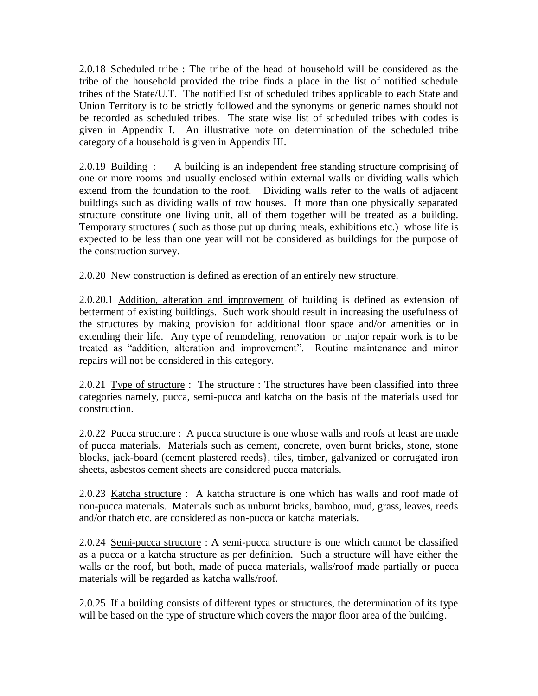2.0.18 Scheduled tribe : The tribe of the head of household will be considered as the tribe of the household provided the tribe finds a place in the list of notified schedule tribes of the State/U.T. The notified list of scheduled tribes applicable to each State and Union Territory is to be strictly followed and the synonyms or generic names should not be recorded as scheduled tribes. The state wise list of scheduled tribes with codes is given in Appendix I. An illustrative note on determination of the scheduled tribe category of a household is given in Appendix III.

2.0.19 Building : A building is an independent free standing structure comprising of one or more rooms and usually enclosed within external walls or dividing walls which extend from the foundation to the roof. Dividing walls refer to the walls of adjacent buildings such as dividing walls of row houses. If more than one physically separated structure constitute one living unit, all of them together will be treated as a building. Temporary structures ( such as those put up during meals, exhibitions etc.) whose life is expected to be less than one year will not be considered as buildings for the purpose of the construction survey.

2.0.20 New construction is defined as erection of an entirely new structure.

2.0.20.1 Addition, alteration and improvement of building is defined as extension of betterment of existing buildings. Such work should result in increasing the usefulness of the structures by making provision for additional floor space and/or amenities or in extending their life. Any type of remodeling, renovation or major repair work is to be treated as "addition, alteration and improvement". Routine maintenance and minor repairs will not be considered in this category.

2.0.21 Type of structure : The structure : The structures have been classified into three categories namely, pucca, semi-pucca and katcha on the basis of the materials used for construction.

2.0.22 Pucca structure : A pucca structure is one whose walls and roofs at least are made of pucca materials. Materials such as cement, concrete, oven burnt bricks, stone, stone blocks, jack-board (cement plastered reeds}, tiles, timber, galvanized or corrugated iron sheets, asbestos cement sheets are considered pucca materials.

2.0.23 Katcha structure : A katcha structure is one which has walls and roof made of non-pucca materials. Materials such as unburnt bricks, bamboo, mud, grass, leaves, reeds and/or thatch etc. are considered as non-pucca or katcha materials.

2.0.24 Semi-pucca structure : A semi-pucca structure is one which cannot be classified as a pucca or a katcha structure as per definition. Such a structure will have either the walls or the roof, but both, made of pucca materials, walls/roof made partially or pucca materials will be regarded as katcha walls/roof.

2.0.25 If a building consists of different types or structures, the determination of its type will be based on the type of structure which covers the major floor area of the building.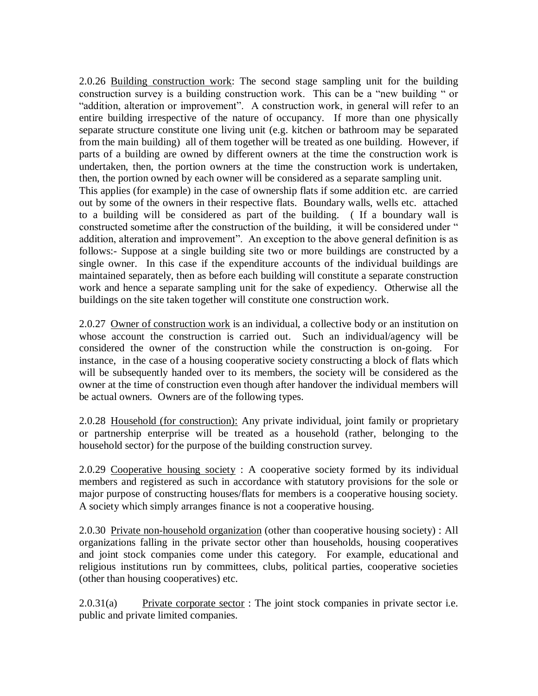2.0.26 Building construction work: The second stage sampling unit for the building construction survey is a building construction work. This can be a "new building " or "addition, alteration or improvement". A construction work, in general will refer to an entire building irrespective of the nature of occupancy. If more than one physically separate structure constitute one living unit (e.g. kitchen or bathroom may be separated from the main building) all of them together will be treated as one building. However, if parts of a building are owned by different owners at the time the construction work is undertaken, then, the portion owners at the time the construction work is undertaken, then, the portion owned by each owner will be considered as a separate sampling unit. This applies (for example) in the case of ownership flats if some addition etc. are carried out by some of the owners in their respective flats. Boundary walls, wells etc. attached to a building will be considered as part of the building. ( If a boundary wall is constructed sometime after the construction of the building, it will be considered under " addition, alteration and improvement". An exception to the above general definition is as follows:- Suppose at a single building site two or more buildings are constructed by a single owner. In this case if the expenditure accounts of the individual buildings are maintained separately, then as before each building will constitute a separate construction work and hence a separate sampling unit for the sake of expediency. Otherwise all the buildings on the site taken together will constitute one construction work.

2.0.27 Owner of construction work is an individual, a collective body or an institution on whose account the construction is carried out. Such an individual/agency will be considered the owner of the construction while the construction is on-going. For instance, in the case of a housing cooperative society constructing a block of flats which will be subsequently handed over to its members, the society will be considered as the owner at the time of construction even though after handover the individual members will be actual owners. Owners are of the following types.

2.0.28 Household (for construction): Any private individual, joint family or proprietary or partnership enterprise will be treated as a household (rather, belonging to the household sector) for the purpose of the building construction survey.

2.0.29 Cooperative housing society : A cooperative society formed by its individual members and registered as such in accordance with statutory provisions for the sole or major purpose of constructing houses/flats for members is a cooperative housing society. A society which simply arranges finance is not a cooperative housing.

2.0.30 Private non-household organization (other than cooperative housing society) : All organizations falling in the private sector other than households, housing cooperatives and joint stock companies come under this category. For example, educational and religious institutions run by committees, clubs, political parties, cooperative societies (other than housing cooperatives) etc.

 $2.0.31(a)$  Private corporate sector : The joint stock companies in private sector i.e. public and private limited companies.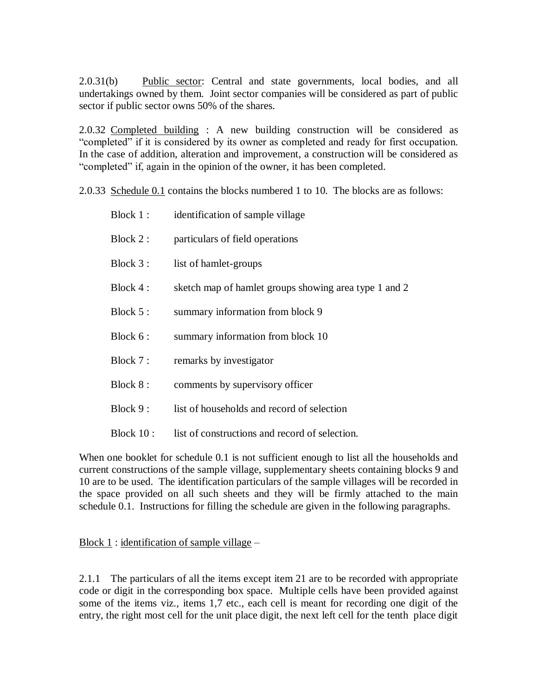2.0.31(b) Public sector: Central and state governments, local bodies, and all undertakings owned by them. Joint sector companies will be considered as part of public sector if public sector owns 50% of the shares.

2.0.32 Completed building : A new building construction will be considered as "completed" if it is considered by its owner as completed and ready for first occupation. In the case of addition, alteration and improvement, a construction will be considered as "completed" if, again in the opinion of the owner, it has been completed.

2.0.33 Schedule 0.1 contains the blocks numbered 1 to 10. The blocks are as follows:

| Block 1 :    | identification of sample village                      |
|--------------|-------------------------------------------------------|
| Block 2:     | particulars of field operations                       |
| Block 3:     | list of hamlet-groups                                 |
| Block 4 :    | sketch map of hamlet groups showing area type 1 and 2 |
| Block 5:     | summary information from block 9                      |
| Block 6:     | summary information from block 10                     |
| Block 7:     | remarks by investigator                               |
| Block 8:     | comments by supervisory officer                       |
| Block 9:     | list of households and record of selection            |
| Block $10$ : | list of constructions and record of selection.        |

When one booklet for schedule 0.1 is not sufficient enough to list all the households and current constructions of the sample village, supplementary sheets containing blocks 9 and 10 are to be used. The identification particulars of the sample villages will be recorded in the space provided on all such sheets and they will be firmly attached to the main schedule 0.1. Instructions for filling the schedule are given in the following paragraphs.

Block  $1$ : identification of sample village –

2.1.1 The particulars of all the items except item 21 are to be recorded with appropriate code or digit in the corresponding box space. Multiple cells have been provided against some of the items viz., items 1,7 etc., each cell is meant for recording one digit of the entry, the right most cell for the unit place digit, the next left cell for the tenth place digit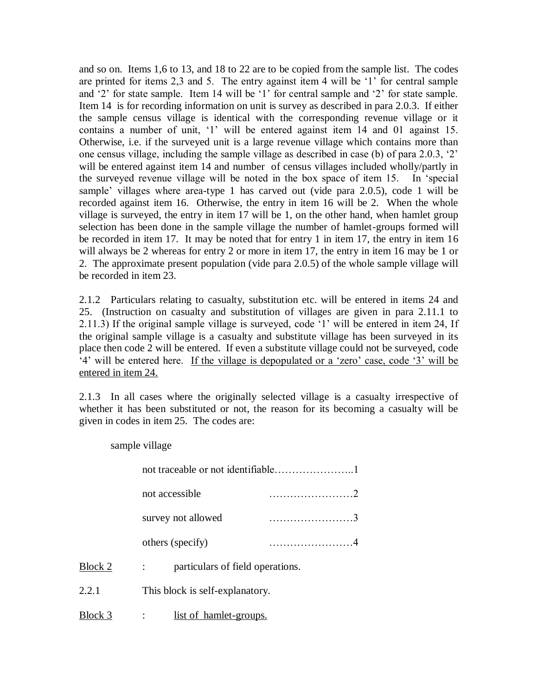and so on. Items 1,6 to 13, and 18 to 22 are to be copied from the sample list. The codes are printed for items 2,3 and 5. The entry against item 4 will be "1" for central sample and '2' for state sample. Item 14 will be '1' for central sample and '2' for state sample. Item 14 is for recording information on unit is survey as described in para 2.0.3. If either the sample census village is identical with the corresponding revenue village or it contains a number of unit, '1' will be entered against item 14 and 01 against 15. Otherwise, i.e. if the surveyed unit is a large revenue village which contains more than one census village, including the sample village as described in case (b) of para 2.0.3, "2" will be entered against item 14 and number of census villages included wholly/partly in the surveyed revenue village will be noted in the box space of item 15. In "special sample' villages where area-type 1 has carved out (vide para 2.0.5), code 1 will be recorded against item 16. Otherwise, the entry in item 16 will be 2. When the whole village is surveyed, the entry in item 17 will be 1, on the other hand, when hamlet group selection has been done in the sample village the number of hamlet-groups formed will be recorded in item 17. It may be noted that for entry 1 in item 17, the entry in item 16 will always be 2 whereas for entry 2 or more in item 17, the entry in item 16 may be 1 or 2. The approximate present population (vide para 2.0.5) of the whole sample village will be recorded in item 23.

2.1.2 Particulars relating to casualty, substitution etc. will be entered in items 24 and 25. (Instruction on casualty and substitution of villages are given in para 2.11.1 to 2.11.3) If the original sample village is surveyed, code "1" will be entered in item 24, If the original sample village is a casualty and substitute village has been surveyed in its place then code 2 will be entered. If even a substitute village could not be surveyed, code "4" will be entered here. If the village is depopulated or a "zero" case, code "3" will be entered in item 24.

2.1.3 In all cases where the originally selected village is a casualty irrespective of whether it has been substituted or not, the reason for its becoming a casualty will be given in codes in item 25. The codes are:

sample village

|         | not accessible                   |  |  |  |
|---------|----------------------------------|--|--|--|
|         | survey not allowed               |  |  |  |
|         | others (specify)                 |  |  |  |
| Block 2 | particulars of field operations. |  |  |  |
| 2.2.1   | This block is self-explanatory.  |  |  |  |
| Block 3 | <u>list of hamlet-groups.</u>    |  |  |  |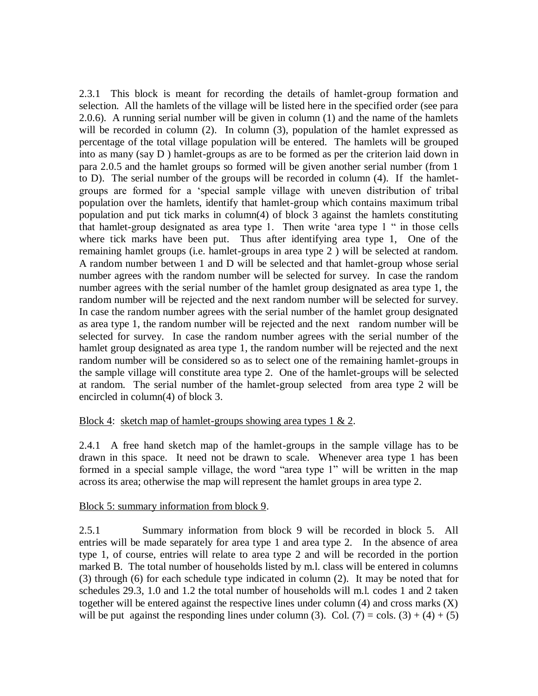2.3.1 This block is meant for recording the details of hamlet-group formation and selection. All the hamlets of the village will be listed here in the specified order (see para 2.0.6). A running serial number will be given in column (1) and the name of the hamlets will be recorded in column (2). In column (3), population of the hamlet expressed as percentage of the total village population will be entered. The hamlets will be grouped into as many (say D ) hamlet-groups as are to be formed as per the criterion laid down in para 2.0.5 and the hamlet groups so formed will be given another serial number (from 1 to D). The serial number of the groups will be recorded in column (4). If the hamletgroups are formed for a "special sample village with uneven distribution of tribal population over the hamlets, identify that hamlet-group which contains maximum tribal population and put tick marks in column(4) of block 3 against the hamlets constituting that hamlet-group designated as area type 1. Then write "area type 1 " in those cells where tick marks have been put. Thus after identifying area type 1, One of the remaining hamlet groups (i.e. hamlet-groups in area type 2 ) will be selected at random. A random number between 1 and D will be selected and that hamlet-group whose serial number agrees with the random number will be selected for survey. In case the random number agrees with the serial number of the hamlet group designated as area type 1, the random number will be rejected and the next random number will be selected for survey. In case the random number agrees with the serial number of the hamlet group designated as area type 1, the random number will be rejected and the next random number will be selected for survey. In case the random number agrees with the serial number of the hamlet group designated as area type 1, the random number will be rejected and the next random number will be considered so as to select one of the remaining hamlet-groups in the sample village will constitute area type 2. One of the hamlet-groups will be selected at random. The serial number of the hamlet-group selected from area type 2 will be encircled in column(4) of block 3.

# Block 4: sketch map of hamlet-groups showing area types 1 & 2.

2.4.1 A free hand sketch map of the hamlet-groups in the sample village has to be drawn in this space. It need not be drawn to scale. Whenever area type 1 has been formed in a special sample village, the word "area type 1" will be written in the map across its area; otherwise the map will represent the hamlet groups in area type 2.

### Block 5: summary information from block 9.

2.5.1 Summary information from block 9 will be recorded in block 5. All entries will be made separately for area type 1 and area type 2. In the absence of area type 1, of course, entries will relate to area type 2 and will be recorded in the portion marked B. The total number of households listed by m.l. class will be entered in columns (3) through (6) for each schedule type indicated in column (2). It may be noted that for schedules 29.3, 1.0 and 1.2 the total number of households will m.l. codes 1 and 2 taken together will be entered against the respective lines under column  $(4)$  and cross marks  $(X)$ will be put against the responding lines under column (3). Col. (7) = cols. (3) + (4) + (5)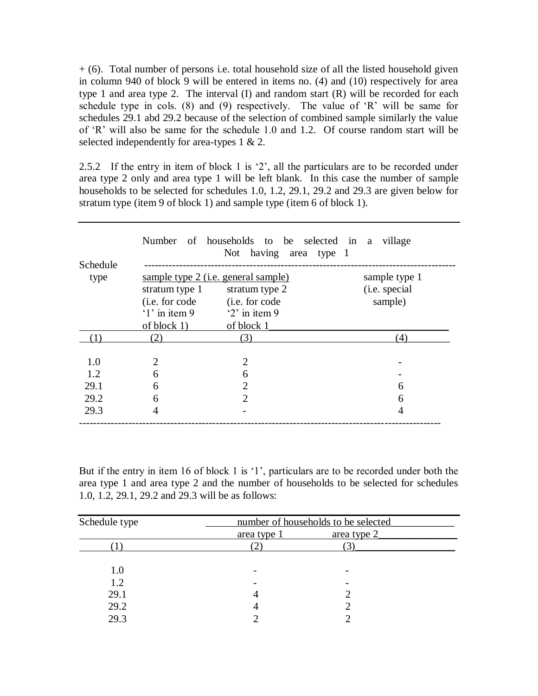+ (6). Total number of persons i.e. total household size of all the listed household given in column 940 of block 9 will be entered in items no. (4) and (10) respectively for area type 1 and area type 2. The interval (I) and random start (R) will be recorded for each schedule type in cols. (8) and (9) respectively. The value of  $R$  will be same for schedules 29.1 abd 29.2 because of the selection of combined sample similarly the value of "R" will also be same for the schedule 1.0 and 1.2. Of course random start will be selected independently for area-types 1 & 2.

2.5.2 If the entry in item of block 1 is "2", all the particulars are to be recorded under area type 2 only and area type 1 will be left blank. In this case the number of sample households to be selected for schedules 1.0, 1.2, 29.1, 29.2 and 29.3 are given below for stratum type (item 9 of block 1) and sample type (item 6 of block 1).

| Schedule |                        | Number of households to be selected in a<br>Not having area type 1 | village       |
|----------|------------------------|--------------------------------------------------------------------|---------------|
|          |                        |                                                                    |               |
| type     |                        | sample type 2 ( <i>i.e.</i> general sample)                        | sample type 1 |
|          | stratum type 1         | stratum type 2                                                     | (i.e. special |
|          | ( <i>i.e.</i> for code | (i.e. for code                                                     | sample)       |
|          | $'1'$ in item 9        | $2'$ in item 9                                                     |               |
|          | of block 1)            | of block 1                                                         |               |
| (1)      | 2)                     | (3)                                                                | (4)           |
|          |                        |                                                                    |               |
| 1.0      | 2                      | $\overline{2}$                                                     |               |
| 1.2      | 6                      | 6                                                                  |               |
| 29.1     | 6                      | $\overline{2}$                                                     | 6             |
| 29.2     | 6                      | $\mathcal{D}_{\mathcal{L}}$                                        | 6             |
| 29.3     | 4                      |                                                                    | 4             |
|          |                        |                                                                    |               |

But if the entry in item 16 of block 1 is '1', particulars are to be recorded under both the area type 1 and area type 2 and the number of households to be selected for schedules 1.0, 1.2, 29.1, 29.2 and 29.3 will be as follows:

| Schedule type | number of households to be selected |             |  |
|---------------|-------------------------------------|-------------|--|
|               | area type 1                         | area type 2 |  |
|               |                                     |             |  |
| 1.0           |                                     |             |  |
| 1.2           |                                     |             |  |
| 29.1          | 4                                   |             |  |
| 29.2          |                                     |             |  |
| 29.3          |                                     |             |  |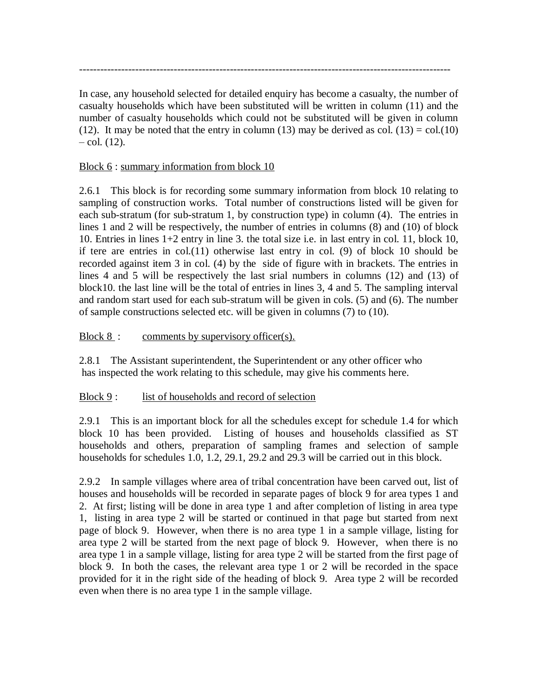In case, any household selected for detailed enquiry has become a casualty, the number of casualty households which have been substituted will be written in column (11) and the number of casualty households which could not be substituted will be given in column (12). It may be noted that the entry in column (13) may be derived as col. (13) = col.(10)  $-$  col.  $(12)$ .

----------------------------------------------------------------------------------------------------------

# Block 6 : summary information from block 10

2.6.1 This block is for recording some summary information from block 10 relating to sampling of construction works. Total number of constructions listed will be given for each sub-stratum (for sub-stratum 1, by construction type) in column (4). The entries in lines 1 and 2 will be respectively, the number of entries in columns (8) and (10) of block 10. Entries in lines 1+2 entry in line 3. the total size i.e. in last entry in col. 11, block 10, if tere are entries in col.(11) otherwise last entry in col. (9) of block 10 should be recorded against item 3 in col. (4) by the side of figure with in brackets. The entries in lines 4 and 5 will be respectively the last srial numbers in columns (12) and (13) of block10. the last line will be the total of entries in lines 3, 4 and 5. The sampling interval and random start used for each sub-stratum will be given in cols. (5) and (6). The number of sample constructions selected etc. will be given in columns (7) to (10).

# Block 8 : comments by supervisory officer(s).

2.8.1 The Assistant superintendent, the Superintendent or any other officer who has inspected the work relating to this schedule, may give his comments here.

# Block 9: list of households and record of selection

2.9.1 This is an important block for all the schedules except for schedule 1.4 for which block 10 has been provided. Listing of houses and households classified as ST households and others, preparation of sampling frames and selection of sample households for schedules 1.0, 1.2, 29.1, 29.2 and 29.3 will be carried out in this block.

2.9.2 In sample villages where area of tribal concentration have been carved out, list of houses and households will be recorded in separate pages of block 9 for area types 1 and 2. At first; listing will be done in area type 1 and after completion of listing in area type 1, listing in area type 2 will be started or continued in that page but started from next page of block 9. However, when there is no area type 1 in a sample village, listing for area type 2 will be started from the next page of block 9. However, when there is no area type 1 in a sample village, listing for area type 2 will be started from the first page of block 9. In both the cases, the relevant area type 1 or 2 will be recorded in the space provided for it in the right side of the heading of block 9. Area type 2 will be recorded even when there is no area type 1 in the sample village.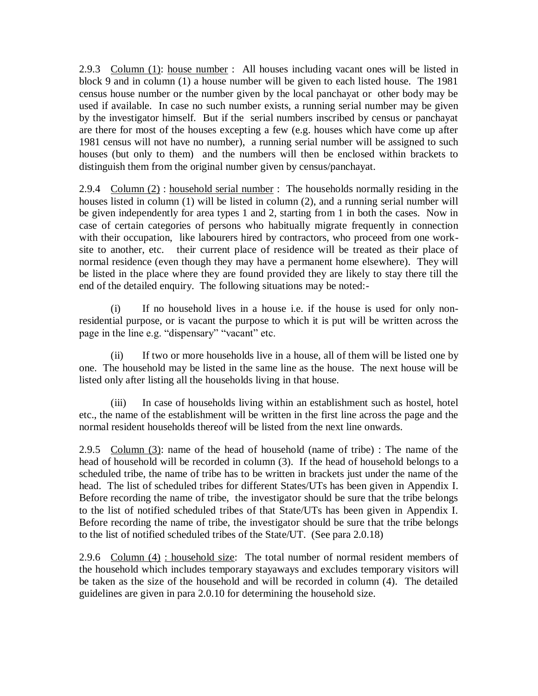2.9.3 Column (1): house number : All houses including vacant ones will be listed in block 9 and in column (1) a house number will be given to each listed house. The 1981 census house number or the number given by the local panchayat or other body may be used if available. In case no such number exists, a running serial number may be given by the investigator himself. But if the serial numbers inscribed by census or panchayat are there for most of the houses excepting a few (e.g. houses which have come up after 1981 census will not have no number), a running serial number will be assigned to such houses (but only to them) and the numbers will then be enclosed within brackets to distinguish them from the original number given by census/panchayat.

2.9.4 Column (2) : household serial number : The households normally residing in the houses listed in column (1) will be listed in column (2), and a running serial number will be given independently for area types 1 and 2, starting from 1 in both the cases. Now in case of certain categories of persons who habitually migrate frequently in connection with their occupation, like labourers hired by contractors, who proceed from one worksite to another, etc. their current place of residence will be treated as their place of normal residence (even though they may have a permanent home elsewhere). They will be listed in the place where they are found provided they are likely to stay there till the end of the detailed enquiry. The following situations may be noted:-

(i) If no household lives in a house i.e. if the house is used for only nonresidential purpose, or is vacant the purpose to which it is put will be written across the page in the line e.g. "dispensary" "vacant" etc.

(ii) If two or more households live in a house, all of them will be listed one by one. The household may be listed in the same line as the house. The next house will be listed only after listing all the households living in that house.

(iii) In case of households living within an establishment such as hostel, hotel etc., the name of the establishment will be written in the first line across the page and the normal resident households thereof will be listed from the next line onwards.

2.9.5 Column  $(3)$ : name of the head of household (name of tribe) : The name of the head of household will be recorded in column (3). If the head of household belongs to a scheduled tribe, the name of tribe has to be written in brackets just under the name of the head. The list of scheduled tribes for different States/UTs has been given in Appendix I. Before recording the name of tribe, the investigator should be sure that the tribe belongs to the list of notified scheduled tribes of that State/UTs has been given in Appendix I. Before recording the name of tribe, the investigator should be sure that the tribe belongs to the list of notified scheduled tribes of the State/UT. (See para 2.0.18)

2.9.6 Column (4) : household size: The total number of normal resident members of the household which includes temporary stayaways and excludes temporary visitors will be taken as the size of the household and will be recorded in column (4). The detailed guidelines are given in para 2.0.10 for determining the household size.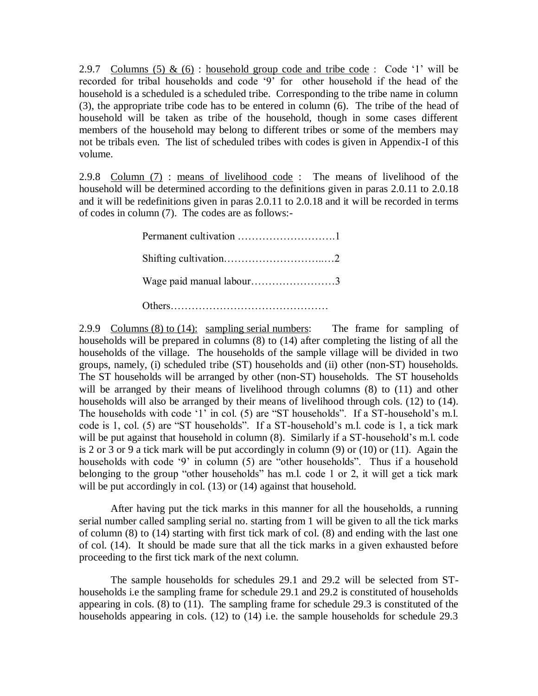2.9.7 Columns (5)  $\&$  (6) : household group code and tribe code : Code '1' will be recorded for tribal households and code "9" for other household if the head of the household is a scheduled is a scheduled tribe. Corresponding to the tribe name in column (3), the appropriate tribe code has to be entered in column (6). The tribe of the head of household will be taken as tribe of the household, though in some cases different members of the household may belong to different tribes or some of the members may not be tribals even. The list of scheduled tribes with codes is given in Appendix-I of this volume.

2.9.8 Column (7) : means of livelihood code : The means of livelihood of the household will be determined according to the definitions given in paras 2.0.11 to 2.0.18 and it will be redefinitions given in paras 2.0.11 to 2.0.18 and it will be recorded in terms of codes in column (7). The codes are as follows:-

| Wage paid manual labour3 |  |
|--------------------------|--|
|                          |  |

2.9.9 Columns (8) to (14): sampling serial numbers: The frame for sampling of households will be prepared in columns (8) to (14) after completing the listing of all the households of the village. The households of the sample village will be divided in two groups, namely, (i) scheduled tribe (ST) households and (ii) other (non-ST) households. The ST households will be arranged by other (non-ST) households. The ST households will be arranged by their means of livelihood through columns  $(8)$  to  $(11)$  and other households will also be arranged by their means of livelihood through cols. (12) to (14). The households with code '1' in col. (5) are "ST households". If a ST-household's m.l. code is 1, col. (5) are "ST households". If a ST-household"s m.l. code is 1, a tick mark will be put against that household in column (8). Similarly if a ST-household's m.l. code is 2 or 3 or 9 a tick mark will be put accordingly in column (9) or (10) or (11). Again the households with code '9' in column (5) are "other households". Thus if a household belonging to the group "other households" has m.l. code 1 or 2, it will get a tick mark will be put accordingly in col. (13) or (14) against that household.

After having put the tick marks in this manner for all the households, a running serial number called sampling serial no. starting from 1 will be given to all the tick marks of column (8) to (14) starting with first tick mark of col. (8) and ending with the last one of col. (14). It should be made sure that all the tick marks in a given exhausted before proceeding to the first tick mark of the next column.

The sample households for schedules 29.1 and 29.2 will be selected from SThouseholds i.e the sampling frame for schedule 29.1 and 29.2 is constituted of households appearing in cols. (8) to (11). The sampling frame for schedule 29.3 is constituted of the households appearing in cols. (12) to (14) i.e. the sample households for schedule 29.3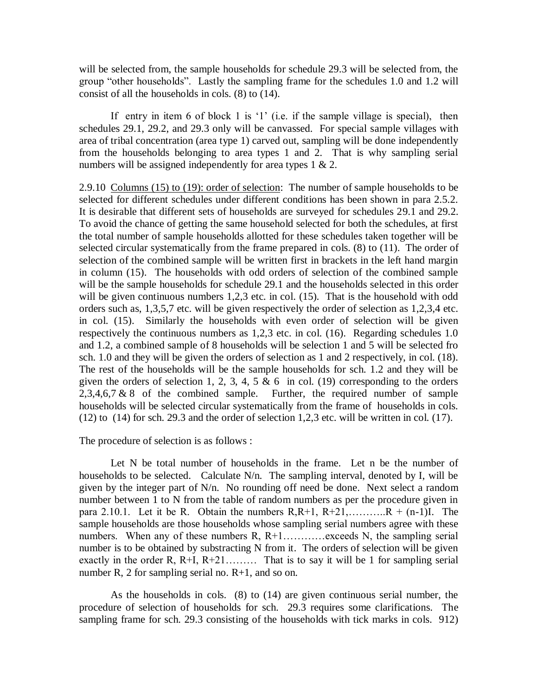will be selected from, the sample households for schedule 29.3 will be selected from, the group "other households". Lastly the sampling frame for the schedules 1.0 and 1.2 will consist of all the households in cols. (8) to (14).

If entry in item 6 of block 1 is  $1'$  (i.e. if the sample village is special), then schedules 29.1, 29.2, and 29.3 only will be canvassed. For special sample villages with area of tribal concentration (area type 1) carved out, sampling will be done independently from the households belonging to area types 1 and 2. That is why sampling serial numbers will be assigned independently for area types  $1 \& 2$ .

2.9.10 Columns (15) to (19): order of selection: The number of sample households to be selected for different schedules under different conditions has been shown in para 2.5.2. It is desirable that different sets of households are surveyed for schedules 29.1 and 29.2. To avoid the chance of getting the same household selected for both the schedules, at first the total number of sample households allotted for these schedules taken together will be selected circular systematically from the frame prepared in cols. (8) to (11). The order of selection of the combined sample will be written first in brackets in the left hand margin in column (15). The households with odd orders of selection of the combined sample will be the sample households for schedule 29.1 and the households selected in this order will be given continuous numbers 1,2,3 etc. in col. (15). That is the household with odd orders such as, 1,3,5,7 etc. will be given respectively the order of selection as 1,2,3,4 etc. in col. (15). Similarly the households with even order of selection will be given respectively the continuous numbers as 1,2,3 etc. in col. (16). Regarding schedules 1.0 and 1.2, a combined sample of 8 households will be selection 1 and 5 will be selected fro sch. 1.0 and they will be given the orders of selection as 1 and 2 respectively, in col. (18). The rest of the households will be the sample households for sch. 1.2 and they will be given the orders of selection 1, 2, 3, 4, 5  $\&$  6 in col. (19) corresponding to the orders  $2,3,4,6,7 \& 8$  of the combined sample. Further, the required number of sample households will be selected circular systematically from the frame of households in cols. (12) to (14) for sch. 29.3 and the order of selection 1,2,3 etc. will be written in col. (17).

The procedure of selection is as follows :

Let N be total number of households in the frame. Let n be the number of households to be selected. Calculate N/n. The sampling interval, denoted by I, will be given by the integer part of N/n. No rounding off need be done. Next select a random number between 1 to N from the table of random numbers as per the procedure given in para 2.10.1. Let it be R. Obtain the numbers  $R, R+1, R+21, \ldots, R + (n-1)I$ . The sample households are those households whose sampling serial numbers agree with these numbers. When any of these numbers  $R, R+1, \ldots, R$  exceeds N, the sampling serial number is to be obtained by substracting N from it. The orders of selection will be given exactly in the order R, R+I, R+21……… That is to say it will be 1 for sampling serial number R, 2 for sampling serial no. R+1, and so on.

As the households in cols. (8) to (14) are given continuous serial number, the procedure of selection of households for sch. 29.3 requires some clarifications. The sampling frame for sch. 29.3 consisting of the households with tick marks in cols. 912)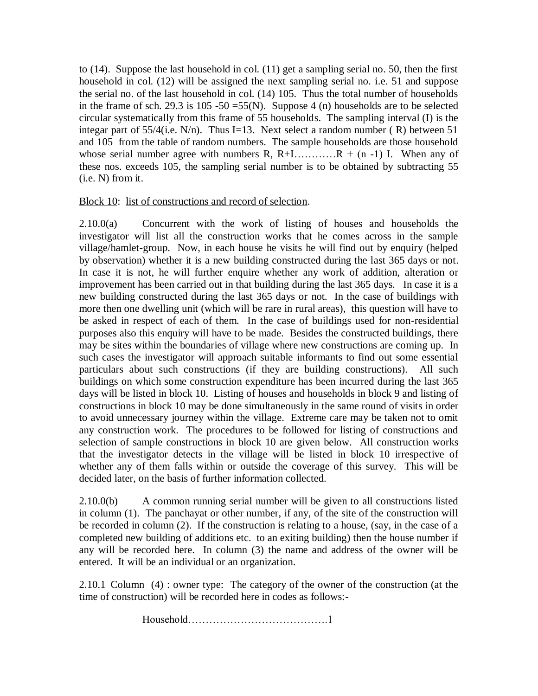to (14). Suppose the last household in col. (11) get a sampling serial no. 50, then the first household in col. (12) will be assigned the next sampling serial no. i.e. 51 and suppose the serial no. of the last household in col. (14) 105. Thus the total number of households in the frame of sch. 29.3 is  $105 - 50 = 55(N)$ . Suppose 4 (n) households are to be selected circular systematically from this frame of 55 households. The sampling interval (I) is the integar part of  $55/4$ (i.e. N/n). Thus I=13. Next select a random number (R) between 51 and 105 from the table of random numbers. The sample households are those household whose serial number agree with numbers R,  $R+1$ ..............  $R + (n-1)$  I. When any of these nos. exceeds 105, the sampling serial number is to be obtained by subtracting 55 (i.e. N) from it.

## Block 10: list of constructions and record of selection.

2.10.0(a) Concurrent with the work of listing of houses and households the investigator will list all the construction works that he comes across in the sample village/hamlet-group. Now, in each house he visits he will find out by enquiry (helped by observation) whether it is a new building constructed during the last 365 days or not. In case it is not, he will further enquire whether any work of addition, alteration or improvement has been carried out in that building during the last 365 days. In case it is a new building constructed during the last 365 days or not. In the case of buildings with more then one dwelling unit (which will be rare in rural areas), this question will have to be asked in respect of each of them. In the case of buildings used for non-residential purposes also this enquiry will have to be made. Besides the constructed buildings, there may be sites within the boundaries of village where new constructions are coming up. In such cases the investigator will approach suitable informants to find out some essential particulars about such constructions (if they are building constructions). All such buildings on which some construction expenditure has been incurred during the last 365 days will be listed in block 10. Listing of houses and households in block 9 and listing of constructions in block 10 may be done simultaneously in the same round of visits in order to avoid unnecessary journey within the village. Extreme care may be taken not to omit any construction work. The procedures to be followed for listing of constructions and selection of sample constructions in block 10 are given below. All construction works that the investigator detects in the village will be listed in block 10 irrespective of whether any of them falls within or outside the coverage of this survey. This will be decided later, on the basis of further information collected.

2.10.0(b) A common running serial number will be given to all constructions listed in column (1). The panchayat or other number, if any, of the site of the construction will be recorded in column (2). If the construction is relating to a house, (say, in the case of a completed new building of additions etc. to an exiting building) then the house number if any will be recorded here. In column (3) the name and address of the owner will be entered. It will be an individual or an organization.

2.10.1 Column  $(4)$ : owner type: The category of the owner of the construction (at the time of construction) will be recorded here in codes as follows:-

Household………………………………….1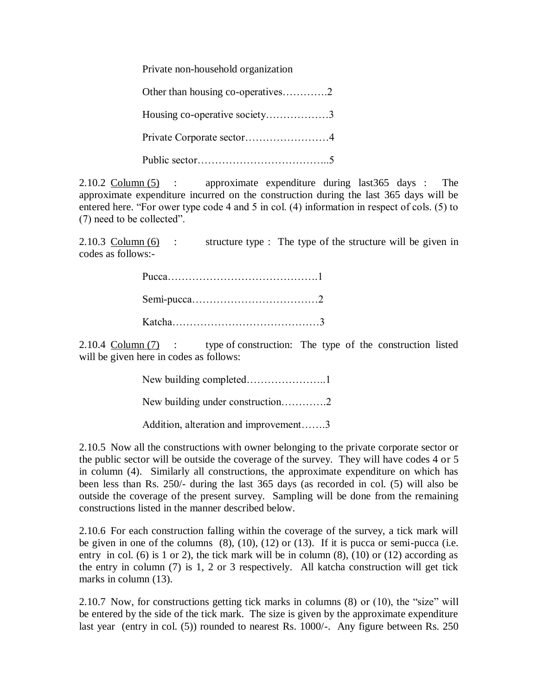Private non-household organization

| Housing co-operative society3 |
|-------------------------------|
|                               |
|                               |

2.10.2 Column (5) : approximate expenditure during last365 days : The approximate expenditure incurred on the construction during the last 365 days will be entered here. "For ower type code 4 and 5 in col. (4) information in respect of cols. (5) to (7) need to be collected".

2.10.3 Column (6) : structure type : The type of the structure will be given in codes as follows:-

2.10.4 Column (7) : type of construction: The type of the construction listed will be given here in codes as follows:

| Addition, alteration and improvement3 |
|---------------------------------------|

2.10.5 Now all the constructions with owner belonging to the private corporate sector or the public sector will be outside the coverage of the survey. They will have codes 4 or 5 in column (4). Similarly all constructions, the approximate expenditure on which has been less than Rs. 250/- during the last 365 days (as recorded in col. (5) will also be outside the coverage of the present survey. Sampling will be done from the remaining constructions listed in the manner described below.

2.10.6 For each construction falling within the coverage of the survey, a tick mark will be given in one of the columns  $(8)$ ,  $(10)$ ,  $(12)$  or  $(13)$ . If it is pucca or semi-pucca (i.e. entry in col. (6) is 1 or 2), the tick mark will be in column  $(8)$ ,  $(10)$  or  $(12)$  according as the entry in column (7) is 1, 2 or 3 respectively. All katcha construction will get tick marks in column (13).

2.10.7 Now, for constructions getting tick marks in columns (8) or (10), the "size" will be entered by the side of the tick mark. The size is given by the approximate expenditure last year (entry in col. (5)) rounded to nearest Rs. 1000/-. Any figure between Rs. 250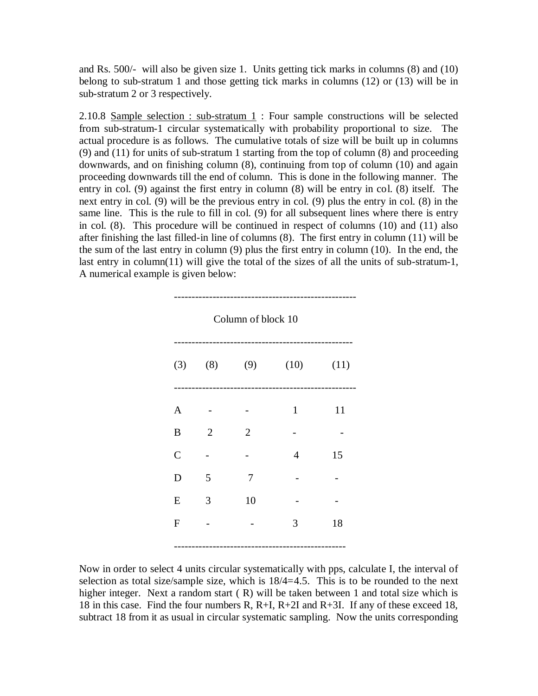and Rs. 500/- will also be given size 1. Units getting tick marks in columns (8) and (10) belong to sub-stratum 1 and those getting tick marks in columns (12) or (13) will be in sub-stratum 2 or 3 respectively.

2.10.8 Sample selection : sub-stratum  $1$  : Four sample constructions will be selected from sub-stratum-1 circular systematically with probability proportional to size. The actual procedure is as follows. The cumulative totals of size will be built up in columns (9) and (11) for units of sub-stratum 1 starting from the top of column (8) and proceeding downwards, and on finishing column (8), continuing from top of column (10) and again proceeding downwards till the end of column. This is done in the following manner. The entry in col. (9) against the first entry in column (8) will be entry in col. (8) itself. The next entry in col. (9) will be the previous entry in col. (9) plus the entry in col. (8) in the same line. This is the rule to fill in col. (9) for all subsequent lines where there is entry in col. (8). This procedure will be continued in respect of columns (10) and (11) also after finishing the last filled-in line of columns (8). The first entry in column (11) will be the sum of the last entry in column (9) plus the first entry in column (10). In the end, the last entry in column(11) will give the total of the sizes of all the units of sub-stratum-1, A numerical example is given below:

| Column of block 10 |                |                |                       |    |  |
|--------------------|----------------|----------------|-----------------------|----|--|
|                    |                |                | (3) (8) (9) (10) (11) |    |  |
| $\mathbf{A}$       |                |                | $\mathbf{1}$          | 11 |  |
| $\boldsymbol{B}$   | $\overline{2}$ | $\overline{2}$ |                       |    |  |
| $\mathcal{C}$      |                |                | $\overline{4}$        | 15 |  |
| D                  | 5              | 7              |                       |    |  |
| E                  | 3              | 10             |                       |    |  |
| $\mathbf{F}$       |                |                | 3                     | 18 |  |
|                    |                |                |                       |    |  |

Now in order to select 4 units circular systematically with pps, calculate I, the interval of selection as total size/sample size, which is 18/4=4.5. This is to be rounded to the next higher integer. Next a random start (R) will be taken between 1 and total size which is 18 in this case. Find the four numbers R, R+I, R+2I and R+3I. If any of these exceed 18, subtract 18 from it as usual in circular systematic sampling. Now the units corresponding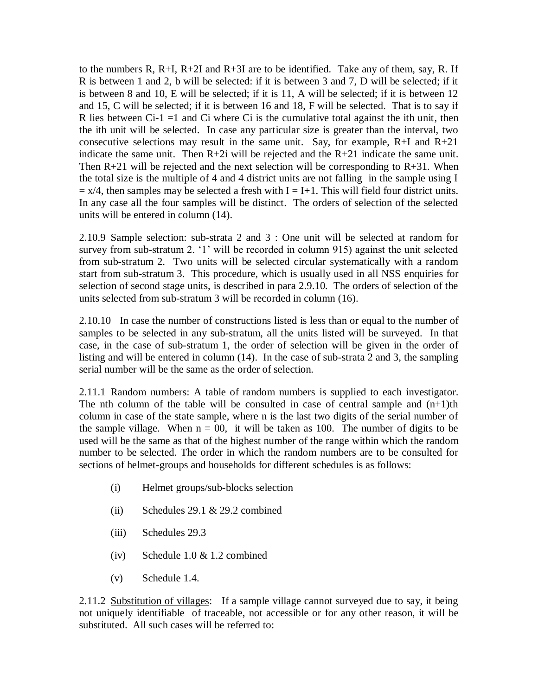to the numbers R, R+I, R+2I and R+3I are to be identified. Take any of them, say, R. If R is between 1 and 2, b will be selected: if it is between 3 and 7, D will be selected; if it is between 8 and 10, E will be selected; if it is 11, A will be selected; if it is between 12 and 15, C will be selected; if it is between 16 and 18, F will be selected. That is to say if R lies between  $Ci-1=1$  and  $Ci$  where  $Ci$  is the cumulative total against the ith unit, then the ith unit will be selected. In case any particular size is greater than the interval, two consecutive selections may result in the same unit. Say, for example,  $R+I$  and  $R+21$ indicate the same unit. Then  $R+2i$  will be rejected and the  $R+21$  indicate the same unit. Then  $R+21$  will be rejected and the next selection will be corresponding to  $R+31$ . When the total size is the multiple of 4 and 4 district units are not falling in the sample using I  $= x/4$ , then samples may be selected a fresh with I = I+1. This will field four district units. In any case all the four samples will be distinct. The orders of selection of the selected units will be entered in column (14).

2.10.9 Sample selection: sub-strata 2 and 3 : One unit will be selected at random for survey from sub-stratum 2. '1' will be recorded in column 915) against the unit selected from sub-stratum 2. Two units will be selected circular systematically with a random start from sub-stratum 3. This procedure, which is usually used in all NSS enquiries for selection of second stage units, is described in para 2.9.10. The orders of selection of the units selected from sub-stratum 3 will be recorded in column (16).

2.10.10 In case the number of constructions listed is less than or equal to the number of samples to be selected in any sub-stratum, all the units listed will be surveyed. In that case, in the case of sub-stratum 1, the order of selection will be given in the order of listing and will be entered in column (14). In the case of sub-strata 2 and 3, the sampling serial number will be the same as the order of selection.

2.11.1 Random numbers: A table of random numbers is supplied to each investigator. The nth column of the table will be consulted in case of central sample and  $(n+1)$ th column in case of the state sample, where n is the last two digits of the serial number of the sample village. When  $n = 00$ , it will be taken as 100. The number of digits to be used will be the same as that of the highest number of the range within which the random number to be selected. The order in which the random numbers are to be consulted for sections of helmet-groups and households for different schedules is as follows:

- (i) Helmet groups/sub-blocks selection
- (ii) Schedules 29.1  $& 29.2$  combined
- (iii) Schedules 29.3
- (iv) Schedule 1.0 & 1.2 combined
- (v) Schedule 1.4.

2.11.2 Substitution of villages: If a sample village cannot surveyed due to say, it being not uniquely identifiable of traceable, not accessible or for any other reason, it will be substituted. All such cases will be referred to: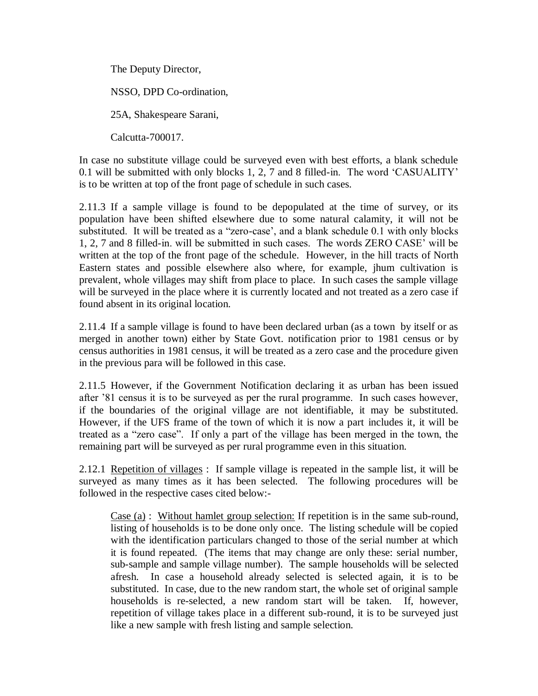The Deputy Director, NSSO, DPD Co-ordination, 25A, Shakespeare Sarani, Calcutta-700017.

In case no substitute village could be surveyed even with best efforts, a blank schedule 0.1 will be submitted with only blocks 1, 2, 7 and 8 filled-in. The word "CASUALITY" is to be written at top of the front page of schedule in such cases.

2.11.3 If a sample village is found to be depopulated at the time of survey, or its population have been shifted elsewhere due to some natural calamity, it will not be substituted. It will be treated as a "zero-case", and a blank schedule 0.1 with only blocks 1, 2, 7 and 8 filled-in. will be submitted in such cases. The words ZERO CASE" will be written at the top of the front page of the schedule. However, in the hill tracts of North Eastern states and possible elsewhere also where, for example, jhum cultivation is prevalent, whole villages may shift from place to place. In such cases the sample village will be surveyed in the place where it is currently located and not treated as a zero case if found absent in its original location.

2.11.4 If a sample village is found to have been declared urban (as a town by itself or as merged in another town) either by State Govt. notification prior to 1981 census or by census authorities in 1981 census, it will be treated as a zero case and the procedure given in the previous para will be followed in this case.

2.11.5 However, if the Government Notification declaring it as urban has been issued after "81 census it is to be surveyed as per the rural programme. In such cases however, if the boundaries of the original village are not identifiable, it may be substituted. However, if the UFS frame of the town of which it is now a part includes it, it will be treated as a "zero case". If only a part of the village has been merged in the town, the remaining part will be surveyed as per rural programme even in this situation.

2.12.1 Repetition of villages : If sample village is repeated in the sample list, it will be surveyed as many times as it has been selected. The following procedures will be followed in the respective cases cited below:-

Case (a) : Without hamlet group selection: If repetition is in the same sub-round, listing of households is to be done only once. The listing schedule will be copied with the identification particulars changed to those of the serial number at which it is found repeated. (The items that may change are only these: serial number, sub-sample and sample village number). The sample households will be selected afresh. In case a household already selected is selected again, it is to be substituted. In case, due to the new random start, the whole set of original sample households is re-selected, a new random start will be taken. If, however, repetition of village takes place in a different sub-round, it is to be surveyed just like a new sample with fresh listing and sample selection.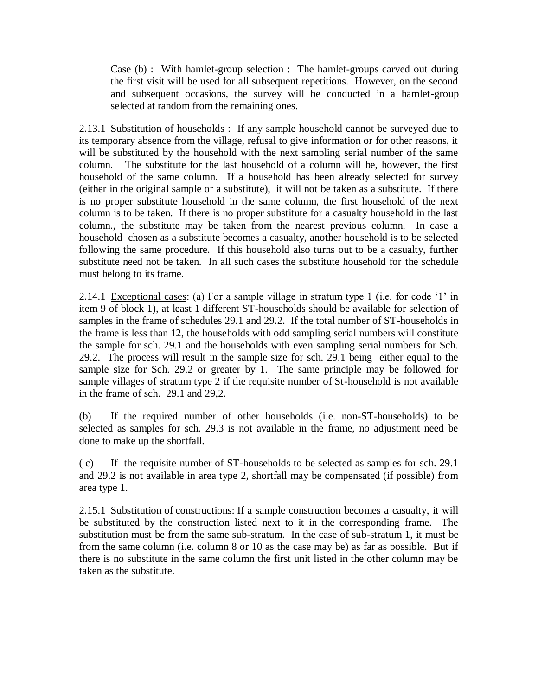Case (b) : With hamlet-group selection : The hamlet-groups carved out during the first visit will be used for all subsequent repetitions. However, on the second and subsequent occasions, the survey will be conducted in a hamlet-group selected at random from the remaining ones.

2.13.1 Substitution of households : If any sample household cannot be surveyed due to its temporary absence from the village, refusal to give information or for other reasons, it will be substituted by the household with the next sampling serial number of the same column. The substitute for the last household of a column will be, however, the first household of the same column. If a household has been already selected for survey (either in the original sample or a substitute), it will not be taken as a substitute. If there is no proper substitute household in the same column, the first household of the next column is to be taken. If there is no proper substitute for a casualty household in the last column., the substitute may be taken from the nearest previous column. In case a household chosen as a substitute becomes a casualty, another household is to be selected following the same procedure. If this household also turns out to be a casualty, further substitute need not be taken. In all such cases the substitute household for the schedule must belong to its frame.

2.14.1 Exceptional cases: (a) For a sample village in stratum type 1 (i.e. for code '1' in item 9 of block 1), at least 1 different ST-households should be available for selection of samples in the frame of schedules 29.1 and 29.2. If the total number of ST-households in the frame is less than 12, the households with odd sampling serial numbers will constitute the sample for sch. 29.1 and the households with even sampling serial numbers for Sch. 29.2. The process will result in the sample size for sch. 29.1 being either equal to the sample size for Sch. 29.2 or greater by 1. The same principle may be followed for sample villages of stratum type 2 if the requisite number of St-household is not available in the frame of sch. 29.1 and 29,2.

(b) If the required number of other households (i.e. non-ST-households) to be selected as samples for sch. 29.3 is not available in the frame, no adjustment need be done to make up the shortfall.

( c) If the requisite number of ST-households to be selected as samples for sch. 29.1 and 29.2 is not available in area type 2, shortfall may be compensated (if possible) from area type 1.

2.15.1 Substitution of constructions: If a sample construction becomes a casualty, it will be substituted by the construction listed next to it in the corresponding frame. The substitution must be from the same sub-stratum. In the case of sub-stratum 1, it must be from the same column (i.e. column 8 or 10 as the case may be) as far as possible. But if there is no substitute in the same column the first unit listed in the other column may be taken as the substitute.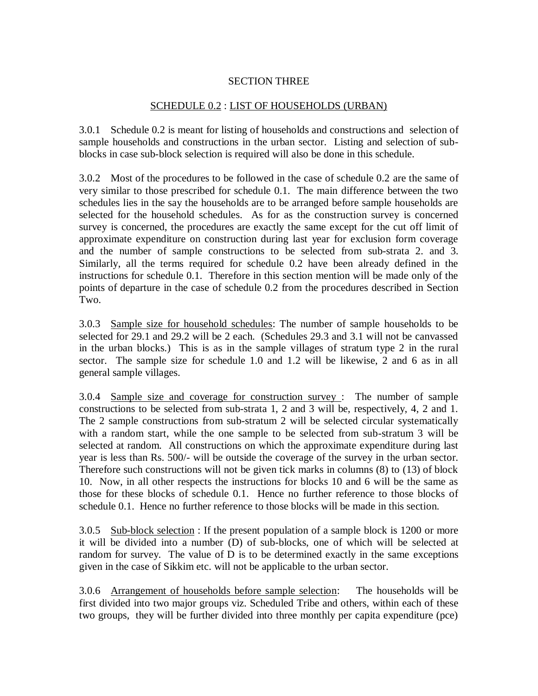## SECTION THREE

## SCHEDULE 0.2 : LIST OF HOUSEHOLDS (URBAN)

3.0.1 Schedule 0.2 is meant for listing of households and constructions and selection of sample households and constructions in the urban sector. Listing and selection of subblocks in case sub-block selection is required will also be done in this schedule.

3.0.2 Most of the procedures to be followed in the case of schedule 0.2 are the same of very similar to those prescribed for schedule 0.1. The main difference between the two schedules lies in the say the households are to be arranged before sample households are selected for the household schedules. As for as the construction survey is concerned survey is concerned, the procedures are exactly the same except for the cut off limit of approximate expenditure on construction during last year for exclusion form coverage and the number of sample constructions to be selected from sub-strata 2. and 3. Similarly, all the terms required for schedule 0.2 have been already defined in the instructions for schedule 0.1. Therefore in this section mention will be made only of the points of departure in the case of schedule 0.2 from the procedures described in Section Two.

3.0.3 Sample size for household schedules: The number of sample households to be selected for 29.1 and 29.2 will be 2 each. (Schedules 29.3 and 3.1 will not be canvassed in the urban blocks.) This is as in the sample villages of stratum type 2 in the rural sector. The sample size for schedule 1.0 and 1.2 will be likewise, 2 and 6 as in all general sample villages.

3.0.4 Sample size and coverage for construction survey : The number of sample constructions to be selected from sub-strata 1, 2 and 3 will be, respectively, 4, 2 and 1. The 2 sample constructions from sub-stratum 2 will be selected circular systematically with a random start, while the one sample to be selected from sub-stratum 3 will be selected at random. All constructions on which the approximate expenditure during last year is less than Rs. 500/- will be outside the coverage of the survey in the urban sector. Therefore such constructions will not be given tick marks in columns (8) to (13) of block 10. Now, in all other respects the instructions for blocks 10 and 6 will be the same as those for these blocks of schedule 0.1. Hence no further reference to those blocks of schedule 0.1. Hence no further reference to those blocks will be made in this section.

3.0.5 Sub-block selection: If the present population of a sample block is 1200 or more it will be divided into a number (D) of sub-blocks, one of which will be selected at random for survey. The value of D is to be determined exactly in the same exceptions given in the case of Sikkim etc. will not be applicable to the urban sector.

3.0.6 Arrangement of households before sample selection: The households will be first divided into two major groups viz. Scheduled Tribe and others, within each of these two groups, they will be further divided into three monthly per capita expenditure (pce)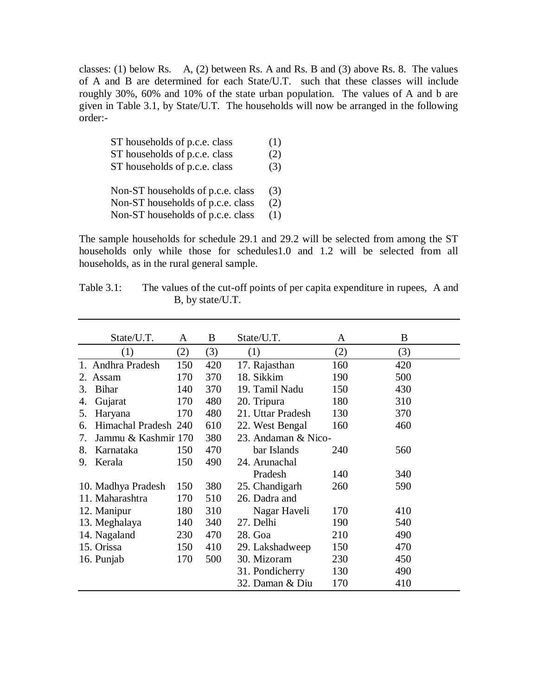classes: (1) below Rs. A, (2) between Rs. A and Rs. B and (3) above Rs. 8. The values of A and B are determined for each State/U.T. such that these classes will include roughly 30%, 60% and 10% of the state urban population. The values of A and b are given in Table 3.1, by State/U.T. The households will now be arranged in the following order:-

| ST households of p.c.e. class     | (1) |
|-----------------------------------|-----|
| ST households of p.c.e. class     | (2) |
| ST households of p.c.e. class     | (3) |
| Non-ST households of p.c.e. class | (3) |
| Non-ST households of p.c.e. class | (2) |
| Non-ST households of p.c.e. class | (1) |

The sample households for schedule 29.1 and 29.2 will be selected from among the ST households only while those for schedules1.0 and 1.2 will be selected from all households, as in the rural general sample.

| Table $3.1$ : |                  |  | The values of the cut-off points of per capita expenditure in rupees, A and |  |
|---------------|------------------|--|-----------------------------------------------------------------------------|--|
|               | B, by state/U.T. |  |                                                                             |  |

|    | State/U.T.           | A   | B   | State/U.T.          | A   | B   |
|----|----------------------|-----|-----|---------------------|-----|-----|
|    | (1)                  | (2) | (3) | (1)                 | (2) | (3) |
|    | 1. Andhra Pradesh    | 150 | 420 | 17. Rajasthan       | 160 | 420 |
| 2. | Assam                | 170 | 370 | 18. Sikkim          | 190 | 500 |
| 3. | <b>Bihar</b>         | 140 | 370 | 19. Tamil Nadu      | 150 | 430 |
| 4. | Gujarat              | 170 | 480 | 20. Tripura         | 180 | 310 |
| 5. | Haryana              | 170 | 480 | 21. Uttar Pradesh   | 130 | 370 |
| 6. | Himachal Pradesh 240 |     | 610 | 22. West Bengal     | 160 | 460 |
| 7. | Jammu & Kashmir 170  |     | 380 | 23. Andaman & Nico- |     |     |
| 8. | Karnataka            | 150 | 470 | bar Islands         | 240 | 560 |
| 9. | Kerala               | 150 | 490 | 24. Arunachal       |     |     |
|    |                      |     |     | Pradesh             | 140 | 340 |
|    | 10. Madhya Pradesh   | 150 | 380 | 25. Chandigarh      | 260 | 590 |
|    | 11. Maharashtra      | 170 | 510 | 26. Dadra and       |     |     |
|    | 12. Manipur          | 180 | 310 | Nagar Haveli        | 170 | 410 |
|    | 13. Meghalaya        | 140 | 340 | 27. Delhi           | 190 | 540 |
|    | 14. Nagaland         | 230 | 470 | 28. Goa             | 210 | 490 |
|    | 15. Orissa           | 150 | 410 | 29. Lakshadweep     | 150 | 470 |
|    | 16. Punjab           | 170 | 500 | 30. Mizoram         | 230 | 450 |
|    |                      |     |     | 31. Pondicherry     | 130 | 490 |
|    |                      |     |     | 32. Daman & Diu     | 170 | 410 |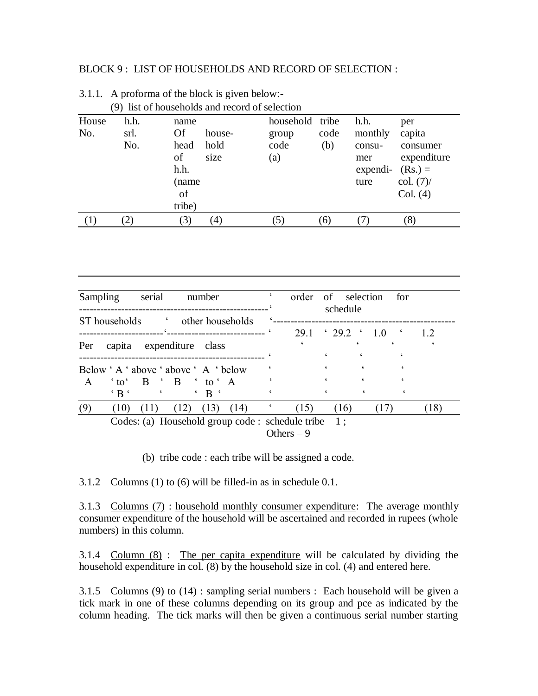#### BLOCK 9 : LIST OF HOUSEHOLDS AND RECORD OF SELECTION :

|              |                     |                                                           |                        | (9) list of households and record of selection |             |                                                      |                                                                                          |
|--------------|---------------------|-----------------------------------------------------------|------------------------|------------------------------------------------|-------------|------------------------------------------------------|------------------------------------------------------------------------------------------|
| House<br>No. | h.h.<br>srl.<br>No. | name<br>Of<br>head<br>of<br>h.h.<br>(name<br>of<br>tribe) | house-<br>hold<br>size | household tribe<br>group<br>code<br>(a)        | code<br>(b) | h.h.<br>monthly<br>consu-<br>mer<br>expendi-<br>ture | per<br>capita<br>consumer<br>expenditure<br>$(Rs.) =$<br>$\text{col.} (7)$ /<br>Col. (4) |
|              |                     | (3)                                                       | (4)                    | (5)                                            | (6)         |                                                      | (8)                                                                                      |

| 3.1.1. A proforma of the block is given below:- |  |
|-------------------------------------------------|--|
|-------------------------------------------------|--|

| serial<br>Sampling<br>number<br>the bouseholds of the boundary of the state of the state of the state of the state of the state of the state of the state of the state of the state of the state of the state of the state of the state of the state of the st<br>ST households | order of selection | schedule |            | for                         |      |
|---------------------------------------------------------------------------------------------------------------------------------------------------------------------------------------------------------------------------------------------------------------------------------|--------------------|----------|------------|-----------------------------|------|
|                                                                                                                                                                                                                                                                                 |                    |          |            | $29.1 \t3.29.2 \t1.0 \t1.2$ |      |
| capita expenditure class<br>Per                                                                                                                                                                                                                                                 |                    |          |            |                             |      |
|                                                                                                                                                                                                                                                                                 |                    |          | $\epsilon$ |                             |      |
| Below 'A ' above ' above 'A ' below                                                                                                                                                                                                                                             |                    |          |            |                             |      |
| $'$ to $'$ B $'$ B $'$ to $'$ A<br>$\mathsf{A}$<br>$\cdot$ B $\cdot$                                                                                                                                                                                                            |                    |          |            |                             |      |
| $(13)$ $(14)$<br>(9)<br>(12)<br>(11)<br>(10)                                                                                                                                                                                                                                    | (15)               | (16)     |            | (17)                        | (18) |
| Codes: (a) Household group code : schedule tribe $-1$ ;                                                                                                                                                                                                                         |                    |          |            |                             |      |
|                                                                                                                                                                                                                                                                                 | Others $-9$        |          |            |                             |      |

(b) tribe code : each tribe will be assigned a code.

3.1.2 Columns (1) to (6) will be filled-in as in schedule 0.1.

3.1.3 Columns (7) : household monthly consumer expenditure: The average monthly consumer expenditure of the household will be ascertained and recorded in rupees (whole numbers) in this column.

3.1.4 Column (8) : The per capita expenditure will be calculated by dividing the household expenditure in col. (8) by the household size in col. (4) and entered here.

3.1.5 Columns (9) to (14) : sampling serial numbers : Each household will be given a tick mark in one of these columns depending on its group and pce as indicated by the column heading. The tick marks will then be given a continuous serial number starting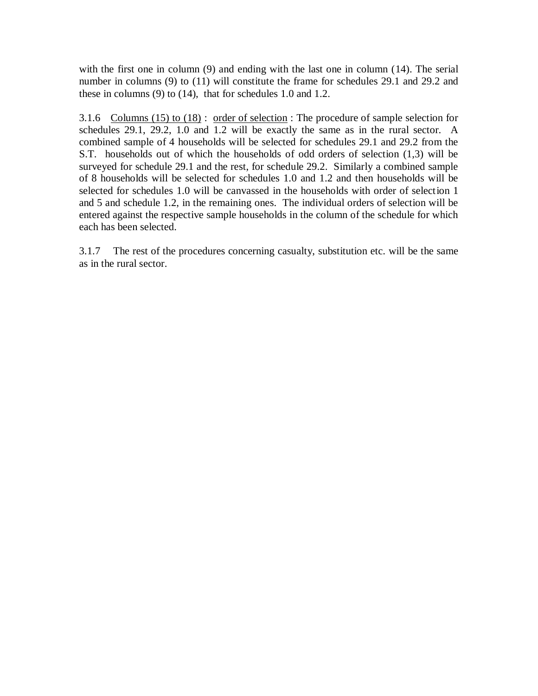with the first one in column (9) and ending with the last one in column (14). The serial number in columns (9) to (11) will constitute the frame for schedules 29.1 and 29.2 and these in columns (9) to (14), that for schedules 1.0 and 1.2.

3.1.6 Columns (15) to (18) : order of selection : The procedure of sample selection for schedules 29.1, 29.2, 1.0 and 1.2 will be exactly the same as in the rural sector. A combined sample of 4 households will be selected for schedules 29.1 and 29.2 from the S.T. households out of which the households of odd orders of selection (1,3) will be surveyed for schedule 29.1 and the rest, for schedule 29.2. Similarly a combined sample of 8 households will be selected for schedules 1.0 and 1.2 and then households will be selected for schedules 1.0 will be canvassed in the households with order of selection 1 and 5 and schedule 1.2, in the remaining ones. The individual orders of selection will be entered against the respective sample households in the column of the schedule for which each has been selected.

3.1.7 The rest of the procedures concerning casualty, substitution etc. will be the same as in the rural sector.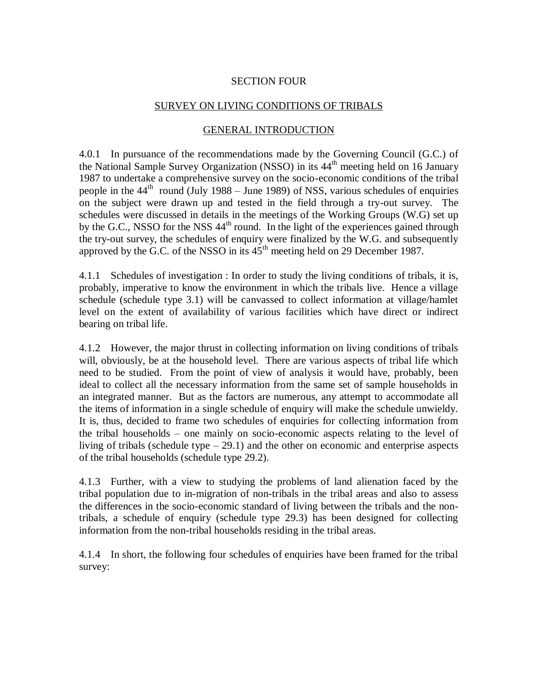## SECTION FOUR

#### SURVEY ON LIVING CONDITIONS OF TRIBALS

## GENERAL INTRODUCTION

4.0.1 In pursuance of the recommendations made by the Governing Council (G.C.) of the National Sample Survey Organization (NSSO) in its 44<sup>th</sup> meeting held on 16 January 1987 to undertake a comprehensive survey on the socio-economic conditions of the tribal people in the  $44<sup>th</sup>$  round (July 1988 – June 1989) of NSS, various schedules of enquiries on the subject were drawn up and tested in the field through a try-out survey. The schedules were discussed in details in the meetings of the Working Groups (W.G) set up by the G.C., NSSO for the NSS  $44<sup>th</sup>$  round. In the light of the experiences gained through the try-out survey, the schedules of enquiry were finalized by the W.G. and subsequently approved by the G.C. of the NSSO in its  $45<sup>th</sup>$  meeting held on 29 December 1987.

4.1.1 Schedules of investigation : In order to study the living conditions of tribals, it is, probably, imperative to know the environment in which the tribals live. Hence a village schedule (schedule type 3.1) will be canvassed to collect information at village/hamlet level on the extent of availability of various facilities which have direct or indirect bearing on tribal life.

4.1.2 However, the major thrust in collecting information on living conditions of tribals will, obviously, be at the household level. There are various aspects of tribal life which need to be studied. From the point of view of analysis it would have, probably, been ideal to collect all the necessary information from the same set of sample households in an integrated manner. But as the factors are numerous, any attempt to accommodate all the items of information in a single schedule of enquiry will make the schedule unwieldy. It is, thus, decided to frame two schedules of enquiries for collecting information from the tribal households – one mainly on socio-economic aspects relating to the level of living of tribals (schedule type  $-29.1$ ) and the other on economic and enterprise aspects of the tribal households (schedule type 29.2).

4.1.3 Further, with a view to studying the problems of land alienation faced by the tribal population due to in-migration of non-tribals in the tribal areas and also to assess the differences in the socio-economic standard of living between the tribals and the nontribals, a schedule of enquiry (schedule type 29.3) has been designed for collecting information from the non-tribal households residing in the tribal areas.

4.1.4 In short, the following four schedules of enquiries have been framed for the tribal survey: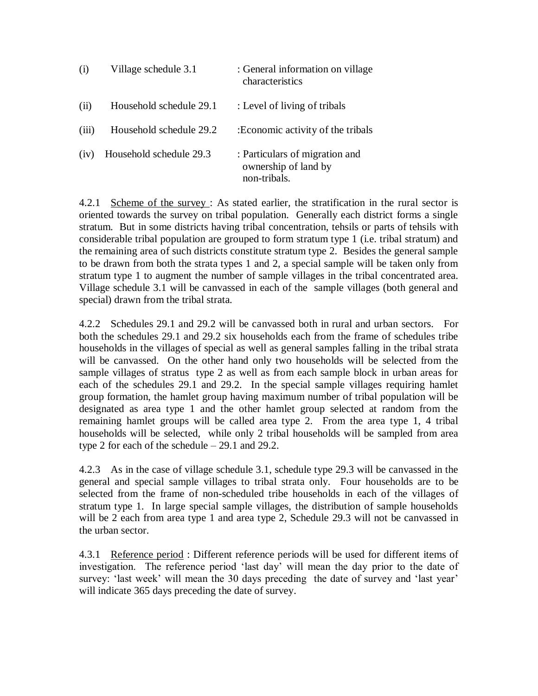| (i)   | Village schedule 3.1    | : General information on village<br>characteristics                    |
|-------|-------------------------|------------------------------------------------------------------------|
| (ii)  | Household schedule 29.1 | : Level of living of tribals                                           |
| (iii) | Household schedule 29.2 | : Economic activity of the tribals                                     |
| (iv)  | Household schedule 29.3 | : Particulars of migration and<br>ownership of land by<br>non-tribals. |

4.2.1 Scheme of the survey: As stated earlier, the stratification in the rural sector is oriented towards the survey on tribal population. Generally each district forms a single stratum. But in some districts having tribal concentration, tehsils or parts of tehsils with considerable tribal population are grouped to form stratum type 1 (i.e. tribal stratum) and the remaining area of such districts constitute stratum type 2. Besides the general sample to be drawn from both the strata types 1 and 2, a special sample will be taken only from stratum type 1 to augment the number of sample villages in the tribal concentrated area. Village schedule 3.1 will be canvassed in each of the sample villages (both general and special) drawn from the tribal strata.

4.2.2 Schedules 29.1 and 29.2 will be canvassed both in rural and urban sectors. For both the schedules 29.1 and 29.2 six households each from the frame of schedules tribe households in the villages of special as well as general samples falling in the tribal strata will be canvassed. On the other hand only two households will be selected from the sample villages of stratus type 2 as well as from each sample block in urban areas for each of the schedules 29.1 and 29.2. In the special sample villages requiring hamlet group formation, the hamlet group having maximum number of tribal population will be designated as area type 1 and the other hamlet group selected at random from the remaining hamlet groups will be called area type 2. From the area type 1, 4 tribal households will be selected, while only 2 tribal households will be sampled from area type 2 for each of the schedule – 29.1 and 29.2.

4.2.3 As in the case of village schedule 3.1, schedule type 29.3 will be canvassed in the general and special sample villages to tribal strata only. Four households are to be selected from the frame of non-scheduled tribe households in each of the villages of stratum type 1. In large special sample villages, the distribution of sample households will be 2 each from area type 1 and area type 2, Schedule 29.3 will not be canvassed in the urban sector.

4.3.1 Reference period: Different reference periods will be used for different items of investigation. The reference period "last day" will mean the day prior to the date of survey: 'last week' will mean the 30 days preceding the date of survey and 'last year' will indicate 365 days preceding the date of survey.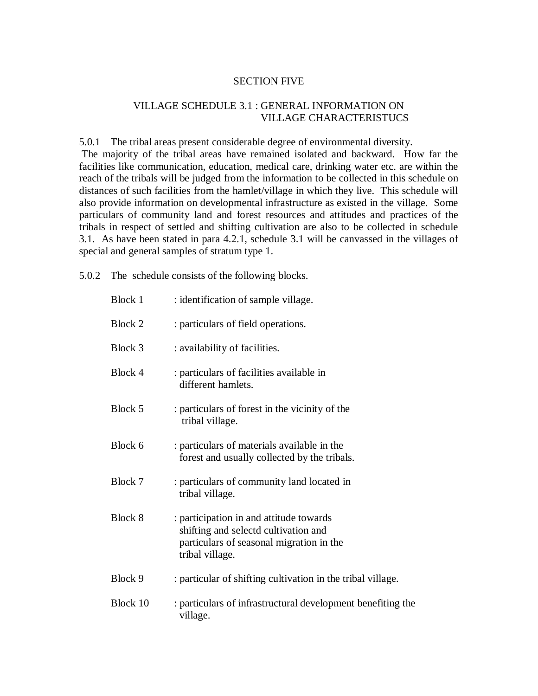#### SECTION FIVE

### VILLAGE SCHEDULE 3.1 : GENERAL INFORMATION ON VILLAGE CHARACTERISTUCS

5.0.1 The tribal areas present considerable degree of environmental diversity. The majority of the tribal areas have remained isolated and backward. How far the facilities like communication, education, medical care, drinking water etc. are within the reach of the tribals will be judged from the information to be collected in this schedule on distances of such facilities from the hamlet/village in which they live. This schedule will also provide information on developmental infrastructure as existed in the village. Some particulars of community land and forest resources and attitudes and practices of the tribals in respect of settled and shifting cultivation are also to be collected in schedule 3.1. As have been stated in para 4.2.1, schedule 3.1 will be canvassed in the villages of

special and general samples of stratum type 1.

5.0.2 The schedule consists of the following blocks.

| <b>Block 1</b> | : identification of sample village.                                                                                                            |
|----------------|------------------------------------------------------------------------------------------------------------------------------------------------|
| Block 2        | : particulars of field operations.                                                                                                             |
| Block 3        | : availability of facilities.                                                                                                                  |
| Block 4        | : particulars of facilities available in<br>different hamlets.                                                                                 |
| Block 5        | : particulars of forest in the vicinity of the<br>tribal village.                                                                              |
| Block 6        | : particulars of materials available in the<br>forest and usually collected by the tribals.                                                    |
| Block 7        | : particulars of community land located in<br>tribal village.                                                                                  |
| Block 8        | : participation in and attitude towards<br>shifting and selectd cultivation and<br>particulars of seasonal migration in the<br>tribal village. |
| Block 9        | : particular of shifting cultivation in the tribal village.                                                                                    |
| Block 10       | : particulars of infrastructural development benefiting the<br>village.                                                                        |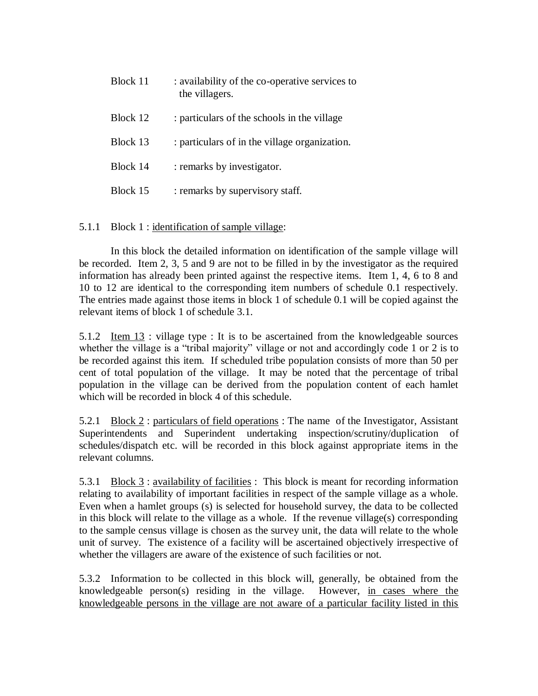| Block 11 | : availability of the co-operative services to<br>the villagers. |
|----------|------------------------------------------------------------------|
| Block 12 | : particulars of the schools in the village                      |
| Block 13 | : particulars of in the village organization.                    |
| Block 14 | : remarks by investigator.                                       |
| Block 15 | : remarks by supervisory staff.                                  |

5.1.1 Block 1 : identification of sample village:

In this block the detailed information on identification of the sample village will be recorded. Item 2, 3, 5 and 9 are not to be filled in by the investigator as the required information has already been printed against the respective items. Item 1, 4, 6 to 8 and 10 to 12 are identical to the corresponding item numbers of schedule 0.1 respectively. The entries made against those items in block 1 of schedule 0.1 will be copied against the relevant items of block 1 of schedule 3.1.

5.1.2 Item  $13$ : village type : It is to be ascertained from the knowledgeable sources whether the village is a "tribal majority" village or not and accordingly code 1 or 2 is to be recorded against this item. If scheduled tribe population consists of more than 50 per cent of total population of the village. It may be noted that the percentage of tribal population in the village can be derived from the population content of each hamlet which will be recorded in block 4 of this schedule.

5.2.1 Block 2 : particulars of field operations : The name of the Investigator, Assistant Superintendents and Superindent undertaking inspection/scrutiny/duplication of schedules/dispatch etc. will be recorded in this block against appropriate items in the relevant columns.

5.3.1 <u>Block 3</u>: availability of facilities : This block is meant for recording information relating to availability of important facilities in respect of the sample village as a whole. Even when a hamlet groups (s) is selected for household survey, the data to be collected in this block will relate to the village as a whole. If the revenue village(s) corresponding to the sample census village is chosen as the survey unit, the data will relate to the whole unit of survey. The existence of a facility will be ascertained objectively irrespective of whether the villagers are aware of the existence of such facilities or not.

5.3.2 Information to be collected in this block will, generally, be obtained from the knowledgeable person(s) residing in the village. However, in cases where the knowledgeable persons in the village are not aware of a particular facility listed in this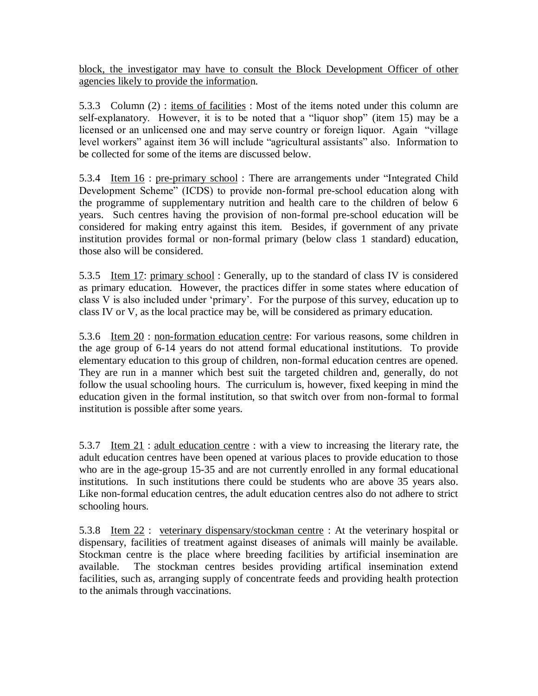block, the investigator may have to consult the Block Development Officer of other agencies likely to provide the information.

5.3.3 Column (2) : items of facilities : Most of the items noted under this column are self-explanatory. However, it is to be noted that a "liquor shop" (item 15) may be a licensed or an unlicensed one and may serve country or foreign liquor. Again "village level workers" against item 36 will include "agricultural assistants" also. Information to be collected for some of the items are discussed below.

5.3.4 <u>Item 16</u> : pre-primary school : There are arrangements under "Integrated Child" Development Scheme" (ICDS) to provide non-formal pre-school education along with the programme of supplementary nutrition and health care to the children of below 6 years. Such centres having the provision of non-formal pre-school education will be considered for making entry against this item. Besides, if government of any private institution provides formal or non-formal primary (below class 1 standard) education, those also will be considered.

5.3.5 Item 17: primary school: Generally, up to the standard of class IV is considered as primary education. However, the practices differ in some states where education of class V is also included under "primary". For the purpose of this survey, education up to class IV or V, as the local practice may be, will be considered as primary education.

5.3.6 Item 20 : non-formation education centre: For various reasons, some children in the age group of 6-14 years do not attend formal educational institutions. To provide elementary education to this group of children, non-formal education centres are opened. They are run in a manner which best suit the targeted children and, generally, do not follow the usual schooling hours. The curriculum is, however, fixed keeping in mind the education given in the formal institution, so that switch over from non-formal to formal institution is possible after some years.

5.3.7 Item 21 : adult education centre : with a view to increasing the literary rate, the adult education centres have been opened at various places to provide education to those who are in the age-group 15-35 and are not currently enrolled in any formal educational institutions. In such institutions there could be students who are above 35 years also. Like non-formal education centres, the adult education centres also do not adhere to strict schooling hours.

5.3.8 Item 22 : veterinary dispensary/stockman centre : At the veterinary hospital or dispensary, facilities of treatment against diseases of animals will mainly be available. Stockman centre is the place where breeding facilities by artificial insemination are available. The stockman centres besides providing artifical insemination extend facilities, such as, arranging supply of concentrate feeds and providing health protection to the animals through vaccinations.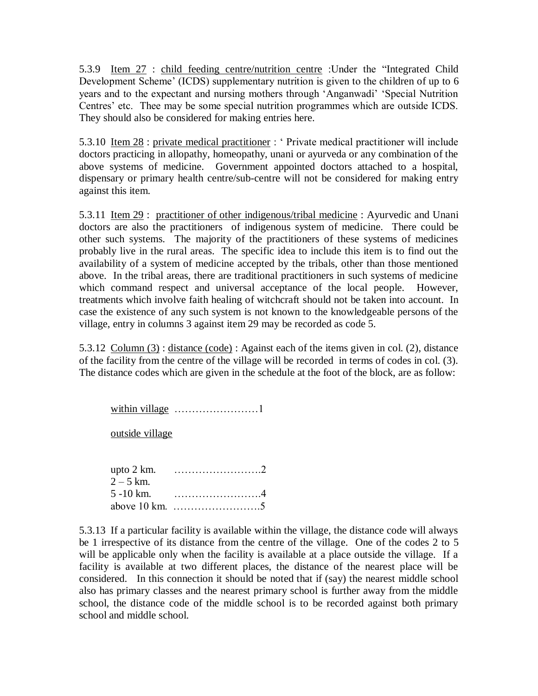5.3.9 Item 27 : child feeding centre/nutrition centre :Under the "Integrated Child Development Scheme' (ICDS) supplementary nutrition is given to the children of up to 6 years and to the expectant and nursing mothers through "Anganwadi" "Special Nutrition Centres' etc. Thee may be some special nutrition programmes which are outside ICDS. They should also be considered for making entries here.

5.3.10 Item 28 : private medical practitioner : " Private medical practitioner will include doctors practicing in allopathy, homeopathy, unani or ayurveda or any combination of the above systems of medicine. Government appointed doctors attached to a hospital, dispensary or primary health centre/sub-centre will not be considered for making entry against this item.

5.3.11 <u>Item 29</u> : practitioner of other indigenous/tribal medicine : Ayurvedic and Unani doctors are also the practitioners of indigenous system of medicine. There could be other such systems. The majority of the practitioners of these systems of medicines probably live in the rural areas. The specific idea to include this item is to find out the availability of a system of medicine accepted by the tribals, other than those mentioned above. In the tribal areas, there are traditional practitioners in such systems of medicine which command respect and universal acceptance of the local people. However, treatments which involve faith healing of witchcraft should not be taken into account. In case the existence of any such system is not known to the knowledgeable persons of the village, entry in columns 3 against item 29 may be recorded as code 5.

5.3.12 Column (3) : distance (code) : Against each of the items given in col. (2), distance of the facility from the centre of the village will be recorded in terms of codes in col. (3). The distance codes which are given in the schedule at the foot of the block, are as follow:

within village ……………………1

outside village

| upto 2 km.   |  |
|--------------|--|
| $2 - 5$ km.  |  |
| $5 - 10$ km. |  |
|              |  |

5.3.13 If a particular facility is available within the village, the distance code will always be 1 irrespective of its distance from the centre of the village. One of the codes 2 to 5 will be applicable only when the facility is available at a place outside the village. If a facility is available at two different places, the distance of the nearest place will be considered. In this connection it should be noted that if (say) the nearest middle school also has primary classes and the nearest primary school is further away from the middle school, the distance code of the middle school is to be recorded against both primary school and middle school.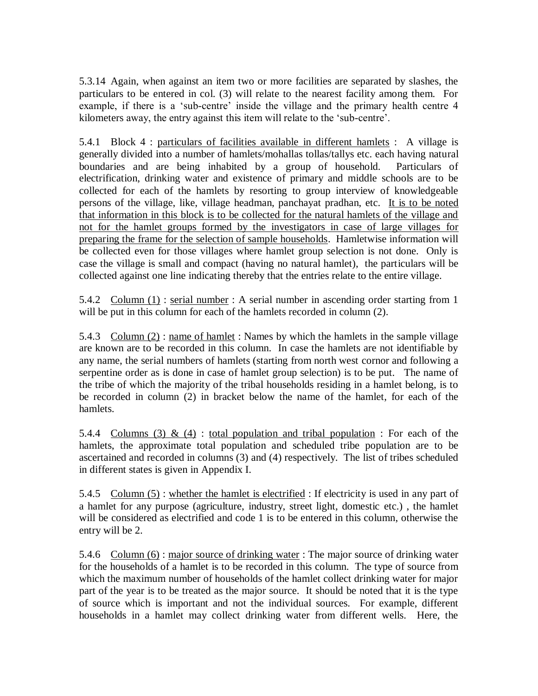5.3.14 Again, when against an item two or more facilities are separated by slashes, the particulars to be entered in col. (3) will relate to the nearest facility among them. For example, if there is a 'sub-centre' inside the village and the primary health centre 4 kilometers away, the entry against this item will relate to the "sub-centre".

5.4.1 Block 4 : particulars of facilities available in different hamlets : A village is generally divided into a number of hamlets/mohallas tollas/tallys etc. each having natural boundaries and are being inhabited by a group of household. Particulars of electrification, drinking water and existence of primary and middle schools are to be collected for each of the hamlets by resorting to group interview of knowledgeable persons of the village, like, village headman, panchayat pradhan, etc. It is to be noted that information in this block is to be collected for the natural hamlets of the village and not for the hamlet groups formed by the investigators in case of large villages for preparing the frame for the selection of sample households. Hamletwise information will be collected even for those villages where hamlet group selection is not done. Only is case the village is small and compact (having no natural hamlet), the particulars will be collected against one line indicating thereby that the entries relate to the entire village.

5.4.2 Column (1) : serial number : A serial number in ascending order starting from 1 will be put in this column for each of the hamlets recorded in column  $(2)$ .

5.4.3 Column (2) : name of hamlet : Names by which the hamlets in the sample village are known are to be recorded in this column. In case the hamlets are not identifiable by any name, the serial numbers of hamlets (starting from north west cornor and following a serpentine order as is done in case of hamlet group selection) is to be put. The name of the tribe of which the majority of the tribal households residing in a hamlet belong, is to be recorded in column (2) in bracket below the name of the hamlet, for each of the hamlets.

5.4.4 Columns (3) & (4) : total population and tribal population : For each of the hamlets, the approximate total population and scheduled tribe population are to be ascertained and recorded in columns (3) and (4) respectively. The list of tribes scheduled in different states is given in Appendix I.

5.4.5 Column (5) : whether the hamlet is electrified : If electricity is used in any part of a hamlet for any purpose (agriculture, industry, street light, domestic etc.) , the hamlet will be considered as electrified and code 1 is to be entered in this column, otherwise the entry will be 2.

5.4.6 Column (6) : major source of drinking water : The major source of drinking water for the households of a hamlet is to be recorded in this column. The type of source from which the maximum number of households of the hamlet collect drinking water for major part of the year is to be treated as the major source. It should be noted that it is the type of source which is important and not the individual sources. For example, different households in a hamlet may collect drinking water from different wells. Here, the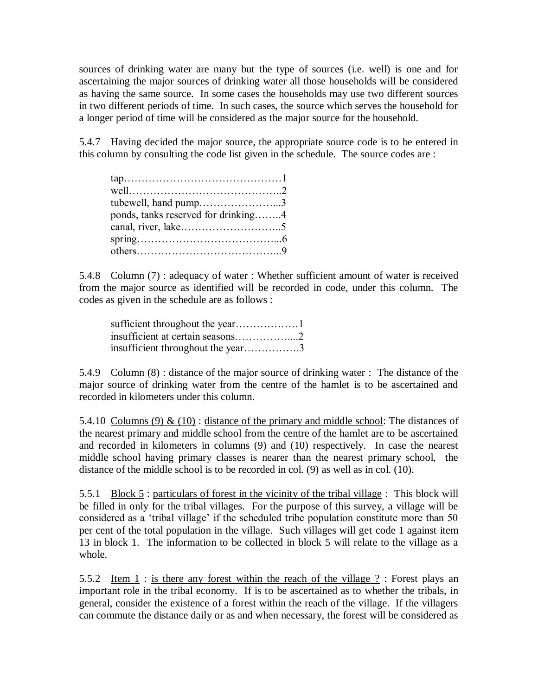sources of drinking water are many but the type of sources (i.e. well) is one and for ascertaining the major sources of drinking water all those households will be considered as having the same source. In some cases the households may use two different sources in two different periods of time. In such cases, the source which serves the household for a longer period of time will be considered as the major source for the household.

5.4.7 Having decided the major source, the appropriate source code is to be entered in this column by consulting the code list given in the schedule. The source codes are :

| $tan \dots \dots \dots \dots \dots \dots \dots \dots \dots \dots \dots \dots \dots 1$ |  |
|---------------------------------------------------------------------------------------|--|
|                                                                                       |  |
| tubewell, hand pump3                                                                  |  |
| ponds, tanks reserved for drinking4                                                   |  |
|                                                                                       |  |
|                                                                                       |  |
|                                                                                       |  |

5.4.8 Column (7): adequacy of water: Whether sufficient amount of water is received from the major source as identified will be recorded in code, under this column. The codes as given in the schedule are as follows :

| insufficient throughout the year3 |  |
|-----------------------------------|--|

5.4.9 Column (8) : distance of the major source of drinking water : The distance of the major source of drinking water from the centre of the hamlet is to be ascertained and recorded in kilometers under this column.

5.4.10 Columns (9)  $\&$  (10) : distance of the primary and middle school: The distances of the nearest primary and middle school from the centre of the hamlet are to be ascertained and recorded in kilometers in columns (9) and (10) respectively. In case the nearest middle school having primary classes is nearer than the nearest primary school, the distance of the middle school is to be recorded in col. (9) as well as in col. (10).

5.5.1 Block 5 : particulars of forest in the vicinity of the tribal village : This block will be filled in only for the tribal villages. For the purpose of this survey, a village will be considered as a "tribal village" if the scheduled tribe population constitute more than 50 per cent of the total population in the village. Such villages will get code 1 against item 13 in block 1. The information to be collected in block 5 will relate to the village as a whole.

5.5.2 Item 1 : is there any forest within the reach of the village ? : Forest plays an important role in the tribal economy. If is to be ascertained as to whether the tribals, in general, consider the existence of a forest within the reach of the village. If the villagers can commute the distance daily or as and when necessary, the forest will be considered as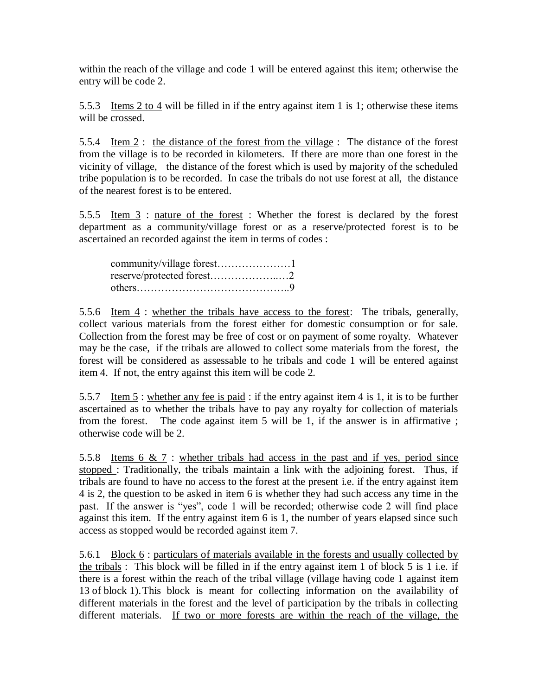within the reach of the village and code 1 will be entered against this item; otherwise the entry will be code 2.

5.5.3 Items 2 to 4 will be filled in if the entry against item 1 is 1; otherwise these items will be crossed.

5.5.4 Item 2 : the distance of the forest from the village : The distance of the forest from the village is to be recorded in kilometers. If there are more than one forest in the vicinity of village, the distance of the forest which is used by majority of the scheduled tribe population is to be recorded. In case the tribals do not use forest at all, the distance of the nearest forest is to be entered.

5.5.5 Item 3 : nature of the forest : Whether the forest is declared by the forest department as a community/village forest or as a reserve/protected forest is to be ascertained an recorded against the item in terms of codes :

| reserve/protected forest2 |  |
|---------------------------|--|
|                           |  |

5.5.6 Item 4 : whether the tribals have access to the forest: The tribals, generally, collect various materials from the forest either for domestic consumption or for sale. Collection from the forest may be free of cost or on payment of some royalty. Whatever may be the case, if the tribals are allowed to collect some materials from the forest, the forest will be considered as assessable to he tribals and code 1 will be entered against item 4. If not, the entry against this item will be code 2.

5.5.7 Item 5 : whether any fee is paid : if the entry against item 4 is 1, it is to be further ascertained as to whether the tribals have to pay any royalty for collection of materials from the forest. The code against item 5 will be 1, if the answer is in affirmative ; otherwise code will be 2.

5.5.8 Items 6 & 7 : whether tribals had access in the past and if yes, period since stopped : Traditionally, the tribals maintain a link with the adjoining forest. Thus, if tribals are found to have no access to the forest at the present i.e. if the entry against item 4 is 2, the question to be asked in item 6 is whether they had such access any time in the past. If the answer is "yes", code 1 will be recorded; otherwise code 2 will find place against this item. If the entry against item 6 is 1, the number of years elapsed since such access as stopped would be recorded against item 7.

5.6.1 Block 6 : particulars of materials available in the forests and usually collected by the tribals : This block will be filled in if the entry against item 1 of block 5 is 1 i.e. if there is a forest within the reach of the tribal village (village having code 1 against item 13 of block 1).This block is meant for collecting information on the availability of different materials in the forest and the level of participation by the tribals in collecting different materials. If two or more forests are within the reach of the village, the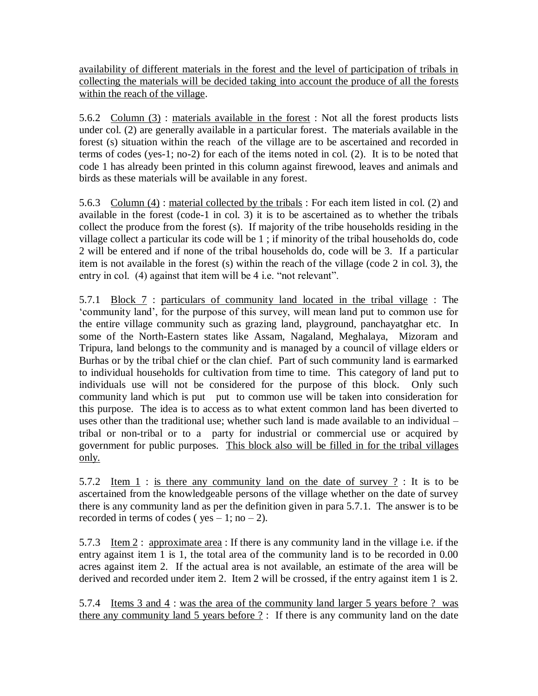availability of different materials in the forest and the level of participation of tribals in collecting the materials will be decided taking into account the produce of all the forests within the reach of the village.

5.6.2 Column (3) : materials available in the forest : Not all the forest products lists under col. (2) are generally available in a particular forest. The materials available in the forest (s) situation within the reach of the village are to be ascertained and recorded in terms of codes (yes-1; no-2) for each of the items noted in col. (2). It is to be noted that code 1 has already been printed in this column against firewood, leaves and animals and birds as these materials will be available in any forest.

5.6.3 Column  $(4)$ : material collected by the tribals : For each item listed in col. (2) and available in the forest (code-1 in col. 3) it is to be ascertained as to whether the tribals collect the produce from the forest (s). If majority of the tribe households residing in the village collect a particular its code will be 1 ; if minority of the tribal households do, code 2 will be entered and if none of the tribal households do, code will be 3. If a particular item is not available in the forest (s) within the reach of the village (code 2 in col. 3), the entry in col. (4) against that item will be 4 i.e. "not relevant".

5.7.1 Block 7 : particulars of community land located in the tribal village : The "community land", for the purpose of this survey, will mean land put to common use for the entire village community such as grazing land, playground, panchayatghar etc. In some of the North-Eastern states like Assam, Nagaland, Meghalaya, Mizoram and Tripura, land belongs to the community and is managed by a council of village elders or Burhas or by the tribal chief or the clan chief. Part of such community land is earmarked to individual households for cultivation from time to time. This category of land put to individuals use will not be considered for the purpose of this block. Only such community land which is put put to common use will be taken into consideration for this purpose. The idea is to access as to what extent common land has been diverted to uses other than the traditional use; whether such land is made available to an individual – tribal or non-tribal or to a party for industrial or commercial use or acquired by government for public purposes. This block also will be filled in for the tribal villages only.

5.7.2 Item  $1$ : is there any community land on the date of survey ?: It is to be ascertained from the knowledgeable persons of the village whether on the date of survey there is any community land as per the definition given in para 5.7.1. The answer is to be recorded in terms of codes ( $ves - 1$ ; no  $- 2$ ).

5.7.3 Item 2 : approximate area : If there is any community land in the village i.e. if the entry against item 1 is 1, the total area of the community land is to be recorded in 0.00 acres against item 2. If the actual area is not available, an estimate of the area will be derived and recorded under item 2. Item 2 will be crossed, if the entry against item 1 is 2.

5.7.4 Items 3 and 4 : was the area of the community land larger 5 years before ? was there any community land 5 years before ? : If there is any community land on the date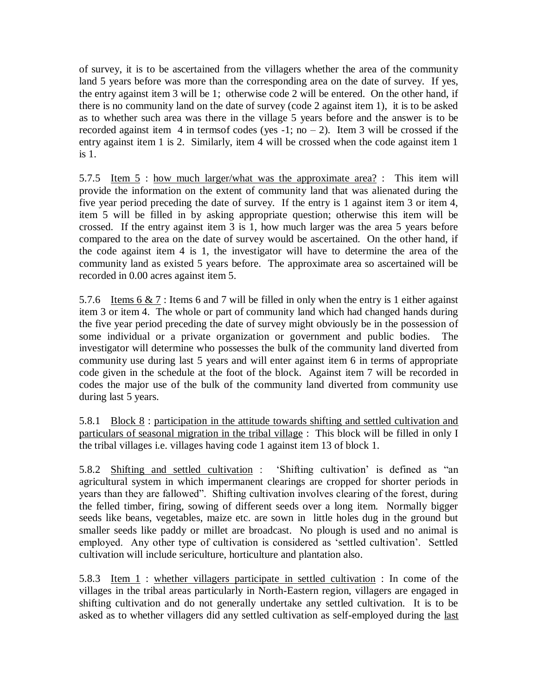of survey, it is to be ascertained from the villagers whether the area of the community land 5 years before was more than the corresponding area on the date of survey. If yes, the entry against item 3 will be 1; otherwise code 2 will be entered. On the other hand, if there is no community land on the date of survey (code 2 against item 1), it is to be asked as to whether such area was there in the village 5 years before and the answer is to be recorded against item 4 in terms of codes (yes -1; no – 2). Item 3 will be crossed if the entry against item 1 is 2. Similarly, item 4 will be crossed when the code against item 1 is 1.

5.7.5 Item 5 : how much larger/what was the approximate area? : This item will provide the information on the extent of community land that was alienated during the five year period preceding the date of survey. If the entry is 1 against item 3 or item 4, item 5 will be filled in by asking appropriate question; otherwise this item will be crossed. If the entry against item 3 is 1, how much larger was the area 5 years before compared to the area on the date of survey would be ascertained. On the other hand, if the code against item 4 is 1, the investigator will have to determine the area of the community land as existed 5 years before. The approximate area so ascertained will be recorded in 0.00 acres against item 5.

5.7.6 Items  $6 \& 7$ : Items 6 and 7 will be filled in only when the entry is 1 either against item 3 or item 4. The whole or part of community land which had changed hands during the five year period preceding the date of survey might obviously be in the possession of some individual or a private organization or government and public bodies. The investigator will determine who possesses the bulk of the community land diverted from community use during last 5 years and will enter against item 6 in terms of appropriate code given in the schedule at the foot of the block. Against item 7 will be recorded in codes the major use of the bulk of the community land diverted from community use during last 5 years.

5.8.1 Block 8 : participation in the attitude towards shifting and settled cultivation and particulars of seasonal migration in the tribal village : This block will be filled in only I the tribal villages i.e. villages having code 1 against item 13 of block 1.

5.8.2 Shifting and settled cultivation : "Shifting cultivation" is defined as "an agricultural system in which impermanent clearings are cropped for shorter periods in years than they are fallowed". Shifting cultivation involves clearing of the forest, during the felled timber, firing, sowing of different seeds over a long item. Normally bigger seeds like beans, vegetables, maize etc. are sown in little holes dug in the ground but smaller seeds like paddy or millet are broadcast. No plough is used and no animal is employed. Any other type of cultivation is considered as "settled cultivation". Settled cultivation will include sericulture, horticulture and plantation also.

5.8.3 Item 1 : whether villagers participate in settled cultivation : In come of the villages in the tribal areas particularly in North-Eastern region, villagers are engaged in shifting cultivation and do not generally undertake any settled cultivation. It is to be asked as to whether villagers did any settled cultivation as self-employed during the last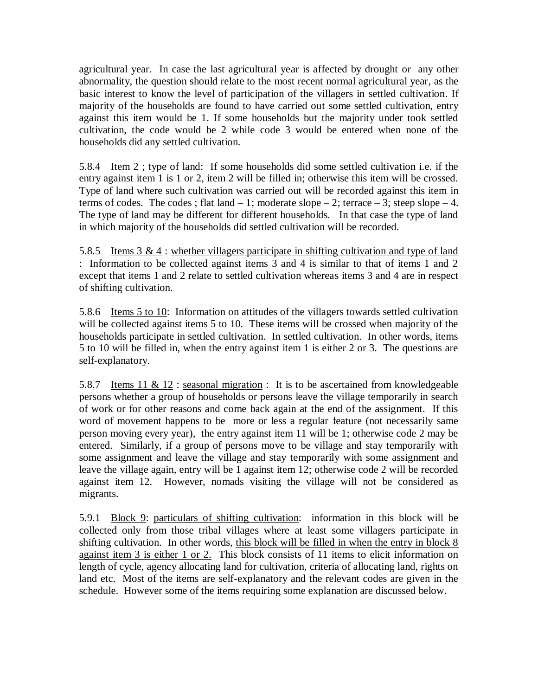agricultural year. In case the last agricultural year is affected by drought or any other abnormality, the question should relate to the most recent normal agricultural year, as the basic interest to know the level of participation of the villagers in settled cultivation. If majority of the households are found to have carried out some settled cultivation, entry against this item would be 1. If some households but the majority under took settled cultivation, the code would be 2 while code 3 would be entered when none of the households did any settled cultivation.

5.8.4 Item 2 ; type of land: If some households did some settled cultivation i.e. if the entry against item 1 is 1 or 2, item 2 will be filled in; otherwise this item will be crossed. Type of land where such cultivation was carried out will be recorded against this item in terms of codes. The codes; flat land  $-1$ ; moderate slope  $-2$ ; terrace  $-3$ ; steep slope  $-4$ . The type of land may be different for different households. In that case the type of land in which majority of the households did settled cultivation will be recorded.

5.8.5 Items  $3 \& 4$ : whether villagers participate in shifting cultivation and type of land : Information to be collected against items 3 and 4 is similar to that of items 1 and 2 except that items 1 and 2 relate to settled cultivation whereas items 3 and 4 are in respect of shifting cultivation.

5.8.6 Items 5 to 10: Information on attitudes of the villagers towards settled cultivation will be collected against items 5 to 10. These items will be crossed when majority of the households participate in settled cultivation. In settled cultivation. In other words, items 5 to 10 will be filled in, when the entry against item 1 is either 2 or 3. The questions are self-explanatory.

5.8.7 Items 11 & 12 : seasonal migration : It is to be ascertained from knowledgeable persons whether a group of households or persons leave the village temporarily in search of work or for other reasons and come back again at the end of the assignment. If this word of movement happens to be more or less a regular feature (not necessarily same person moving every year), the entry against item 11 will be 1; otherwise code 2 may be entered. Similarly, if a group of persons move to be village and stay temporarily with some assignment and leave the village and stay temporarily with some assignment and leave the village again, entry will be 1 against item 12; otherwise code 2 will be recorded against item 12. However, nomads visiting the village will not be considered as migrants.

5.9.1 Block 9: particulars of shifting cultivation: information in this block will be collected only from those tribal villages where at least some villagers participate in shifting cultivation. In other words, this block will be filled in when the entry in block 8 against item 3 is either 1 or 2. This block consists of 11 items to elicit information on length of cycle, agency allocating land for cultivation, criteria of allocating land, rights on land etc. Most of the items are self-explanatory and the relevant codes are given in the schedule. However some of the items requiring some explanation are discussed below.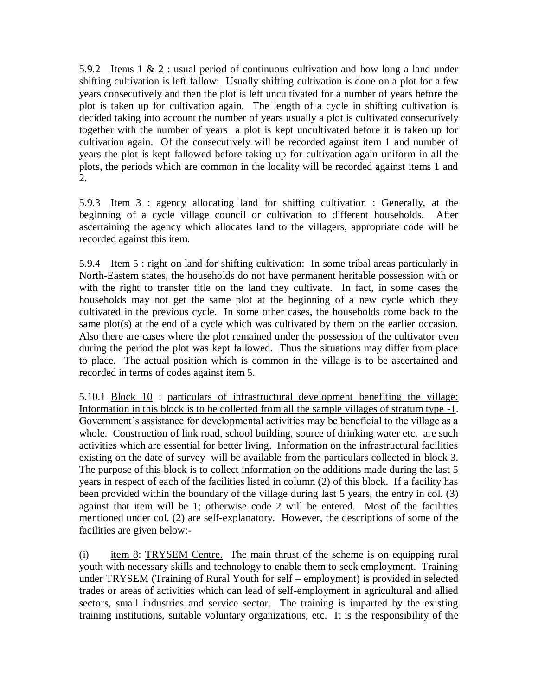5.9.2 Items  $1 \& 2$ : usual period of continuous cultivation and how long a land under shifting cultivation is left fallow: Usually shifting cultivation is done on a plot for a few years consecutively and then the plot is left uncultivated for a number of years before the plot is taken up for cultivation again. The length of a cycle in shifting cultivation is decided taking into account the number of years usually a plot is cultivated consecutively together with the number of years a plot is kept uncultivated before it is taken up for cultivation again. Of the consecutively will be recorded against item 1 and number of years the plot is kept fallowed before taking up for cultivation again uniform in all the plots, the periods which are common in the locality will be recorded against items 1 and 2.

5.9.3 Item  $\overline{3}$  : agency allocating land for shifting cultivation : Generally, at the beginning of a cycle village council or cultivation to different households. After ascertaining the agency which allocates land to the villagers, appropriate code will be recorded against this item.

5.9.4 Item 5 : right on land for shifting cultivation: In some tribal areas particularly in North-Eastern states, the households do not have permanent heritable possession with or with the right to transfer title on the land they cultivate. In fact, in some cases the households may not get the same plot at the beginning of a new cycle which they cultivated in the previous cycle. In some other cases, the households come back to the same plot(s) at the end of a cycle which was cultivated by them on the earlier occasion. Also there are cases where the plot remained under the possession of the cultivator even during the period the plot was kept fallowed. Thus the situations may differ from place to place. The actual position which is common in the village is to be ascertained and recorded in terms of codes against item 5.

5.10.1 Block 10 : particulars of infrastructural development benefiting the village: Information in this block is to be collected from all the sample villages of stratum type -1. Government's assistance for developmental activities may be beneficial to the village as a whole. Construction of link road, school building, source of drinking water etc. are such activities which are essential for better living. Information on the infrastructural facilities existing on the date of survey will be available from the particulars collected in block 3. The purpose of this block is to collect information on the additions made during the last 5 years in respect of each of the facilities listed in column (2) of this block. If a facility has been provided within the boundary of the village during last 5 years, the entry in col. (3) against that item will be 1; otherwise code 2 will be entered. Most of the facilities mentioned under col. (2) are self-explanatory. However, the descriptions of some of the facilities are given below:-

(i) item 8: TRYSEM Centre. The main thrust of the scheme is on equipping rural youth with necessary skills and technology to enable them to seek employment. Training under TRYSEM (Training of Rural Youth for self – employment) is provided in selected trades or areas of activities which can lead of self-employment in agricultural and allied sectors, small industries and service sector. The training is imparted by the existing training institutions, suitable voluntary organizations, etc. It is the responsibility of the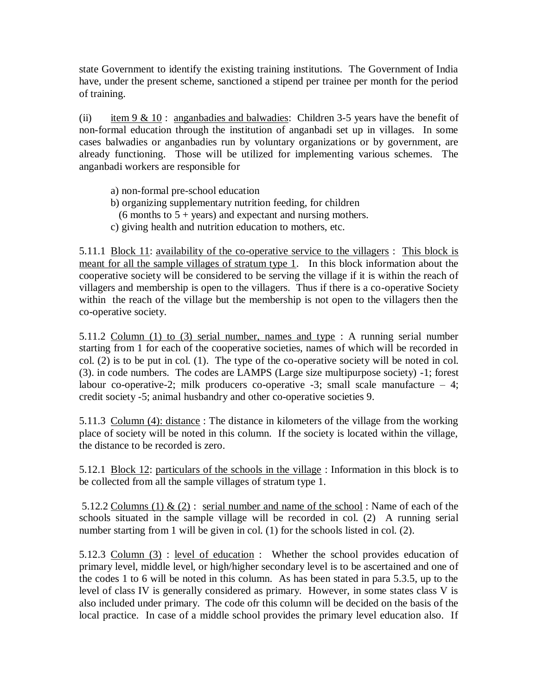state Government to identify the existing training institutions. The Government of India have, under the present scheme, sanctioned a stipend per trainee per month for the period of training.

(ii) item 9  $& 10$ : anganbadies and balwadies: Children 3-5 years have the benefit of non-formal education through the institution of anganbadi set up in villages. In some cases balwadies or anganbadies run by voluntary organizations or by government, are already functioning. Those will be utilized for implementing various schemes. The anganbadi workers are responsible for

- a) non-formal pre-school education
- b) organizing supplementary nutrition feeding, for children
- (6 months to  $5 + \text{years}$ ) and expectant and nursing mothers.
- c) giving health and nutrition education to mothers, etc.

5.11.1 Block 11: availability of the co-operative service to the villagers : This block is meant for all the sample villages of stratum type 1. In this block information about the cooperative society will be considered to be serving the village if it is within the reach of villagers and membership is open to the villagers. Thus if there is a co-operative Society within the reach of the village but the membership is not open to the villagers then the co-operative society.

5.11.2 Column (1) to (3) serial number, names and type : A running serial number starting from 1 for each of the cooperative societies, names of which will be recorded in col. (2) is to be put in col. (1). The type of the co-operative society will be noted in col. (3). in code numbers. The codes are LAMPS (Large size multipurpose society) -1; forest labour co-operative-2; milk producers co-operative  $-3$ ; small scale manufacture  $-4$ ; credit society -5; animal husbandry and other co-operative societies 9.

5.11.3 Column (4): distance: The distance in kilometers of the village from the working place of society will be noted in this column. If the society is located within the village, the distance to be recorded is zero.

5.12.1 Block 12: particulars of the schools in the village : Information in this block is to be collected from all the sample villages of stratum type 1.

5.12.2 Columns (1)  $\&$  (2) : serial number and name of the school : Name of each of the schools situated in the sample village will be recorded in col. (2) A running serial number starting from 1 will be given in col. (1) for the schools listed in col. (2).

5.12.3 Column (3) : level of education : Whether the school provides education of primary level, middle level, or high/higher secondary level is to be ascertained and one of the codes 1 to 6 will be noted in this column. As has been stated in para 5.3.5, up to the level of class IV is generally considered as primary. However, in some states class V is also included under primary. The code ofr this column will be decided on the basis of the local practice. In case of a middle school provides the primary level education also. If